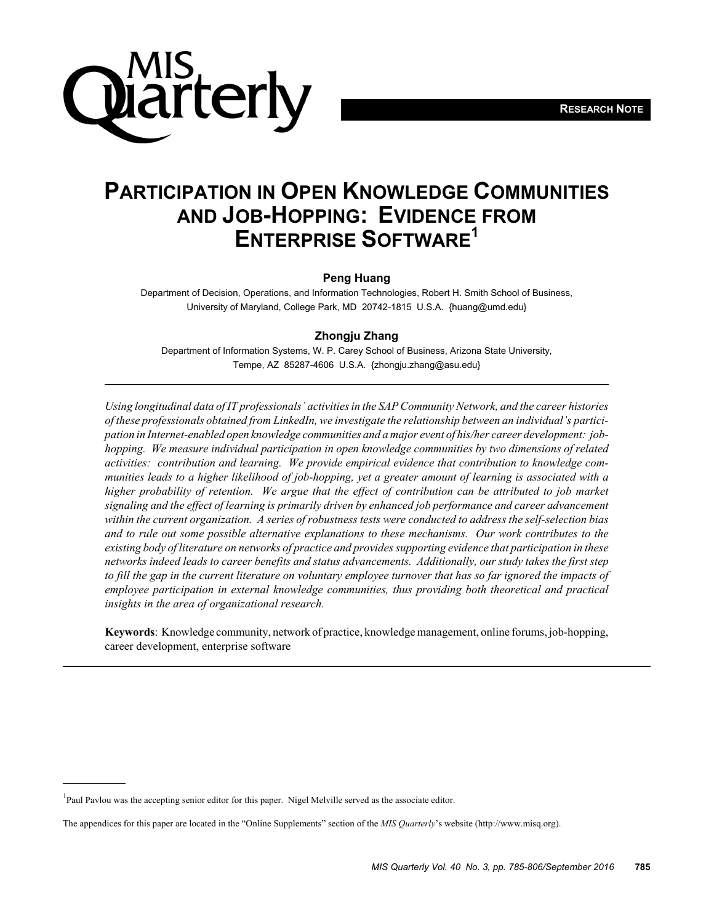

# **PARTICIPATION IN OPEN KNOWLEDGE COMMUNITIES AND JOB-HOPPING: EVIDENCE FROM ENTERPRISE SOFTWARE1**

#### **Peng Huang**

Department of Decision, Operations, and Information Technologies, Robert H. Smith School of Business, University of Maryland, College Park, MD 20742-1815 U.S.A. {huang@umd.edu}

#### **Zhongju Zhang**

Department of Information Systems, W. P. Carey School of Business, Arizona State University, Tempe, AZ 85287-4606 U.S.A. {zhongju.zhang@asu.edu}

*Using longitudinal data of IT professionals' activities in the SAP Community Network, and the career histories of these professionals obtained from LinkedIn, we investigate the relationship between an individual's participation in Internet-enabled open knowledge communities and a major event of his/her career development: jobhopping. We measure individual participation in open knowledge communities by two dimensions of related activities: contribution and learning. We provide empirical evidence that contribution to knowledge communities leads to a higher likelihood of job-hopping, yet a greater amount of learning is associated with a higher probability of retention. We argue that the effect of contribution can be attributed to job market signaling and the effect of learning is primarily driven by enhanced job performance and career advancement within the current organization. A series of robustness tests were conducted to address the self-selection bias and to rule out some possible alternative explanations to these mechanisms. Our work contributes to the existing body of literature on networks of practice and provides supporting evidence that participation in these networks indeed leads to career benefits and status advancements. Additionally, our study takes the first step to fill the gap in the current literature on voluntary employee turnover that has so far ignored the impacts of employee participation in external knowledge communities, thus providing both theoretical and practical insights in the area of organizational research.* 

**Keywords**: Knowledge community, network of practice, knowledge management, online forums, job-hopping, career development, enterprise software

<sup>&</sup>lt;sup>1</sup>Paul Pavlou was the accepting senior editor for this paper. Nigel Melville served as the associate editor.

The appendices for this paper are located in the "Online Supplements" section of the *MIS Quarterly*'s website (http://www.misq.org).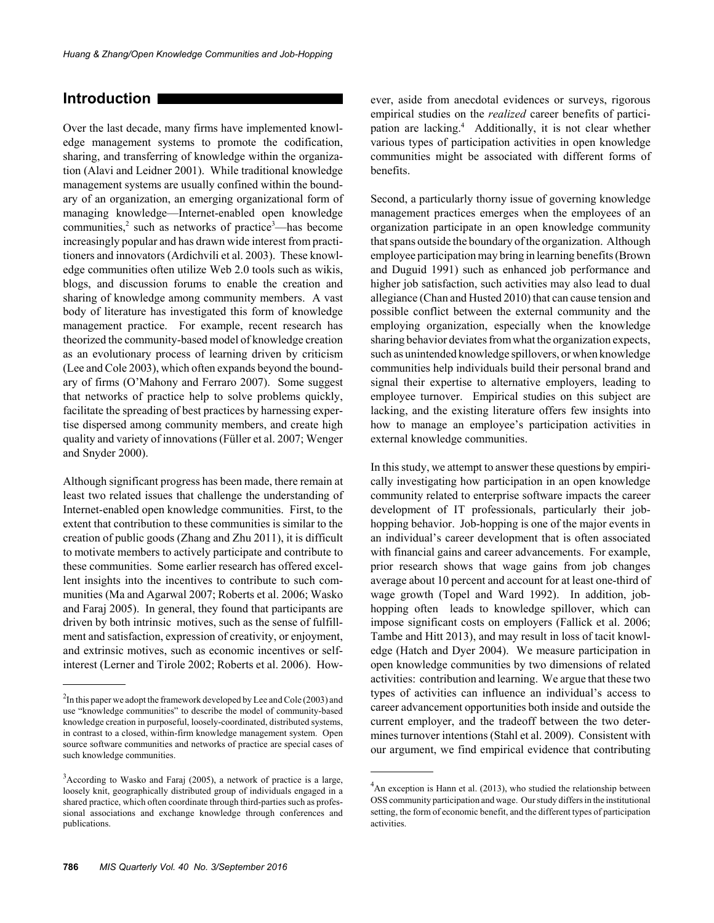# **Introduction**

Over the last decade, many firms have implemented knowledge management systems to promote the codification, sharing, and transferring of knowledge within the organization (Alavi and Leidner 2001). While traditional knowledge management systems are usually confined within the boundary of an organization, an emerging organizational form of managing knowledge—Internet-enabled open knowledge communities,<sup>2</sup> such as networks of practice<sup>3</sup>—has become increasingly popular and has drawn wide interest from practitioners and innovators (Ardichvili et al. 2003). These knowledge communities often utilize Web 2.0 tools such as wikis, blogs, and discussion forums to enable the creation and sharing of knowledge among community members. A vast body of literature has investigated this form of knowledge management practice. For example, recent research has theorized the community-based model of knowledge creation as an evolutionary process of learning driven by criticism (Lee and Cole 2003), which often expands beyond the boundary of firms (O'Mahony and Ferraro 2007). Some suggest that networks of practice help to solve problems quickly, facilitate the spreading of best practices by harnessing expertise dispersed among community members, and create high quality and variety of innovations (Füller et al. 2007; Wenger and Snyder 2000).

Although significant progress has been made, there remain at least two related issues that challenge the understanding of Internet-enabled open knowledge communities. First, to the extent that contribution to these communities is similar to the creation of public goods (Zhang and Zhu 2011), it is difficult to motivate members to actively participate and contribute to these communities. Some earlier research has offered excellent insights into the incentives to contribute to such communities (Ma and Agarwal 2007; Roberts et al. 2006; Wasko and Faraj 2005). In general, they found that participants are driven by both intrinsic motives, such as the sense of fulfillment and satisfaction, expression of creativity, or enjoyment, and extrinsic motives, such as economic incentives or selfinterest (Lerner and Tirole 2002; Roberts et al. 2006). However, aside from anecdotal evidences or surveys, rigorous empirical studies on the *realized* career benefits of participation are lacking.<sup>4</sup> Additionally, it is not clear whether various types of participation activities in open knowledge communities might be associated with different forms of benefits.

Second, a particularly thorny issue of governing knowledge management practices emerges when the employees of an organization participate in an open knowledge community that spans outside the boundary of the organization. Although employee participation may bring in learning benefits (Brown and Duguid 1991) such as enhanced job performance and higher job satisfaction, such activities may also lead to dual allegiance (Chan and Husted 2010) that can cause tension and possible conflict between the external community and the employing organization, especially when the knowledge sharing behavior deviates from what the organization expects, such as unintended knowledge spillovers, or when knowledge communities help individuals build their personal brand and signal their expertise to alternative employers, leading to employee turnover. Empirical studies on this subject are lacking, and the existing literature offers few insights into how to manage an employee's participation activities in external knowledge communities.

In this study, we attempt to answer these questions by empirically investigating how participation in an open knowledge community related to enterprise software impacts the career development of IT professionals, particularly their jobhopping behavior. Job-hopping is one of the major events in an individual's career development that is often associated with financial gains and career advancements. For example, prior research shows that wage gains from job changes average about 10 percent and account for at least one-third of wage growth (Topel and Ward 1992). In addition, jobhopping often leads to knowledge spillover, which can impose significant costs on employers (Fallick et al. 2006; Tambe and Hitt 2013), and may result in loss of tacit knowledge (Hatch and Dyer 2004). We measure participation in open knowledge communities by two dimensions of related activities: contribution and learning. We argue that these two types of activities can influence an individual's access to career advancement opportunities both inside and outside the current employer, and the tradeoff between the two determines turnover intentions (Stahl et al. 2009). Consistent with our argument, we find empirical evidence that contributing

 $2^2$ In this paper we adopt the framework developed by Lee and Cole (2003) and use "knowledge communities" to describe the model of community-based knowledge creation in purposeful, loosely-coordinated, distributed systems, in contrast to a closed, within-firm knowledge management system. Open source software communities and networks of practice are special cases of such knowledge communities.

 $3$ According to Wasko and Faraj (2005), a network of practice is a large, loosely knit, geographically distributed group of individuals engaged in a shared practice, which often coordinate through third-parties such as professional associations and exchange knowledge through conferences and publications.

 $4$ An exception is Hann et al. (2013), who studied the relationship between OSS community participation and wage. Our study differs in the institutional setting, the form of economic benefit, and the different types of participation activities.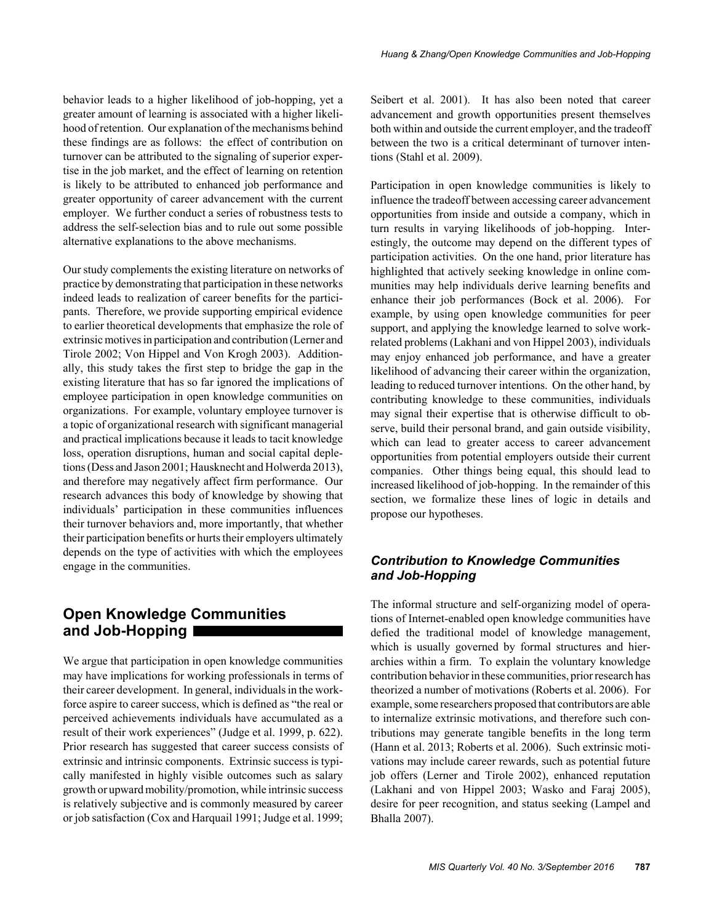behavior leads to a higher likelihood of job-hopping, yet a greater amount of learning is associated with a higher likelihood of retention. Our explanation of the mechanisms behind these findings are as follows: the effect of contribution on turnover can be attributed to the signaling of superior expertise in the job market, and the effect of learning on retention is likely to be attributed to enhanced job performance and greater opportunity of career advancement with the current employer. We further conduct a series of robustness tests to address the self-selection bias and to rule out some possible alternative explanations to the above mechanisms.

Our study complements the existing literature on networks of practice by demonstrating that participation in these networks indeed leads to realization of career benefits for the participants. Therefore, we provide supporting empirical evidence to earlier theoretical developments that emphasize the role of extrinsic motives in participation and contribution (Lerner and Tirole 2002; Von Hippel and Von Krogh 2003). Additionally, this study takes the first step to bridge the gap in the existing literature that has so far ignored the implications of employee participation in open knowledge communities on organizations. For example, voluntary employee turnover is a topic of organizational research with significant managerial and practical implications because it leads to tacit knowledge loss, operation disruptions, human and social capital depletions (Dess and Jason 2001; Hausknecht and Holwerda 2013), and therefore may negatively affect firm performance. Our research advances this body of knowledge by showing that individuals' participation in these communities influences their turnover behaviors and, more importantly, that whether their participation benefits or hurts their employers ultimately depends on the type of activities with which the employees engage in the communities.

# **Open Knowledge Communities and Job-Hopping**

We argue that participation in open knowledge communities may have implications for working professionals in terms of their career development. In general, individuals in the workforce aspire to career success, which is defined as "the real or perceived achievements individuals have accumulated as a result of their work experiences" (Judge et al. 1999, p. 622). Prior research has suggested that career success consists of extrinsic and intrinsic components. Extrinsic success is typically manifested in highly visible outcomes such as salary growth or upward mobility/promotion, while intrinsic success is relatively subjective and is commonly measured by career or job satisfaction (Cox and Harquail 1991; Judge et al. 1999; Seibert et al. 2001). It has also been noted that career advancement and growth opportunities present themselves both within and outside the current employer, and the tradeoff between the two is a critical determinant of turnover intentions (Stahl et al. 2009).

Participation in open knowledge communities is likely to influence the tradeoff between accessing career advancement opportunities from inside and outside a company, which in turn results in varying likelihoods of job-hopping. Interestingly, the outcome may depend on the different types of participation activities. On the one hand, prior literature has highlighted that actively seeking knowledge in online communities may help individuals derive learning benefits and enhance their job performances (Bock et al. 2006). For example, by using open knowledge communities for peer support, and applying the knowledge learned to solve workrelated problems (Lakhani and von Hippel 2003), individuals may enjoy enhanced job performance, and have a greater likelihood of advancing their career within the organization, leading to reduced turnover intentions. On the other hand, by contributing knowledge to these communities, individuals may signal their expertise that is otherwise difficult to observe, build their personal brand, and gain outside visibility, which can lead to greater access to career advancement opportunities from potential employers outside their current companies. Other things being equal, this should lead to increased likelihood of job-hopping. In the remainder of this section, we formalize these lines of logic in details and propose our hypotheses.

## *Contribution to Knowledge Communities and Job-Hopping*

The informal structure and self-organizing model of operations of Internet-enabled open knowledge communities have defied the traditional model of knowledge management, which is usually governed by formal structures and hierarchies within a firm. To explain the voluntary knowledge contribution behavior in these communities, prior research has theorized a number of motivations (Roberts et al. 2006). For example, some researchers proposed that contributors are able to internalize extrinsic motivations, and therefore such contributions may generate tangible benefits in the long term (Hann et al. 2013; Roberts et al. 2006). Such extrinsic motivations may include career rewards, such as potential future job offers (Lerner and Tirole 2002), enhanced reputation (Lakhani and von Hippel 2003; Wasko and Faraj 2005), desire for peer recognition, and status seeking (Lampel and Bhalla 2007).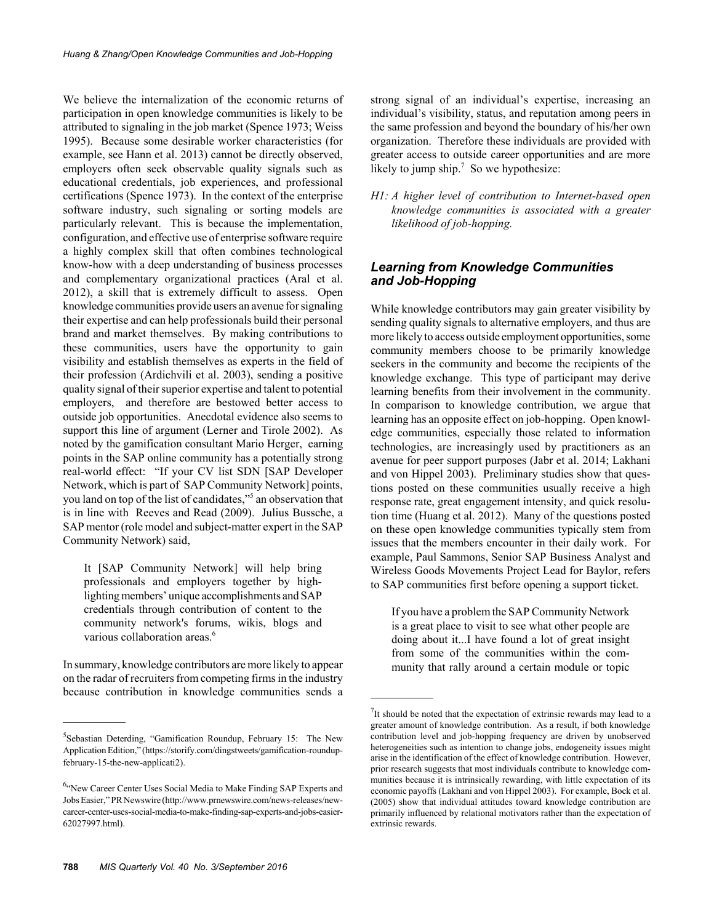We believe the internalization of the economic returns of participation in open knowledge communities is likely to be attributed to signaling in the job market (Spence 1973; Weiss 1995). Because some desirable worker characteristics (for example, see Hann et al. 2013) cannot be directly observed, employers often seek observable quality signals such as educational credentials, job experiences, and professional certifications (Spence 1973). In the context of the enterprise software industry, such signaling or sorting models are particularly relevant. This is because the implementation, configuration, and effective use of enterprise software require a highly complex skill that often combines technological know-how with a deep understanding of business processes and complementary organizational practices (Aral et al. 2012), a skill that is extremely difficult to assess. Open knowledge communities provide users an avenue for signaling their expertise and can help professionals build their personal brand and market themselves. By making contributions to these communities, users have the opportunity to gain visibility and establish themselves as experts in the field of their profession (Ardichvili et al. 2003), sending a positive quality signal of their superior expertise and talent to potential employers, and therefore are bestowed better access to outside job opportunities. Anecdotal evidence also seems to support this line of argument (Lerner and Tirole 2002). As noted by the gamification consultant Mario Herger, earning points in the SAP online community has a potentially strong real-world effect: "If your CV list SDN [SAP Developer Network, which is part of SAP Community Network] points, you land on top of the list of candidates,"5 an observation that is in line with Reeves and Read (2009). Julius Bussche, a SAP mentor (role model and subject-matter expert in the SAP Community Network) said,

It [SAP Community Network] will help bring professionals and employers together by highlighting members' unique accomplishments and SAP credentials through contribution of content to the community network's forums, wikis, blogs and various collaboration areas.<sup>6</sup>

In summary, knowledge contributors are more likely to appear on the radar of recruiters from competing firms in the industry because contribution in knowledge communities sends a

strong signal of an individual's expertise, increasing an individual's visibility, status, and reputation among peers in the same profession and beyond the boundary of his/her own organization. Therefore these individuals are provided with greater access to outside career opportunities and are more likely to jump ship.<sup>7</sup> So we hypothesize:

*H1: A higher level of contribution to Internet-based open knowledge communities is associated with a greater likelihood of job-hopping.*

#### *Learning from Knowledge Communities and Job-Hopping*

While knowledge contributors may gain greater visibility by sending quality signals to alternative employers, and thus are more likely to access outside employment opportunities, some community members choose to be primarily knowledge seekers in the community and become the recipients of the knowledge exchange. This type of participant may derive learning benefits from their involvement in the community. In comparison to knowledge contribution, we argue that learning has an opposite effect on job-hopping. Open knowledge communities, especially those related to information technologies, are increasingly used by practitioners as an avenue for peer support purposes (Jabr et al. 2014; Lakhani and von Hippel 2003). Preliminary studies show that questions posted on these communities usually receive a high response rate, great engagement intensity, and quick resolution time (Huang et al. 2012). Many of the questions posted on these open knowledge communities typically stem from issues that the members encounter in their daily work. For example, Paul Sammons, Senior SAP Business Analyst and Wireless Goods Movements Project Lead for Baylor, refers to SAP communities first before opening a support ticket.

If you have a problem the SAP Community Network is a great place to visit to see what other people are doing about it...I have found a lot of great insight from some of the communities within the community that rally around a certain module or topic

<sup>5</sup> Sebastian Deterding, "Gamification Roundup, February 15: The New Application Edition," (https://storify.com/dingstweets/gamification-roundupfebruary-15-the-new-applicati2).

<sup>&</sup>lt;sup>6</sup> New Career Center Uses Social Media to Make Finding SAP Experts and Jobs Easier," PR Newswire (http://www.prnewswire.com/news-releases/newcareer-center-uses-social-media-to-make-finding-sap-experts-and-jobs-easier-62027997.html).

 $^{7}$ It should be noted that the expectation of extrinsic rewards may lead to a greater amount of knowledge contribution. As a result, if both knowledge contribution level and job-hopping frequency are driven by unobserved heterogeneities such as intention to change jobs, endogeneity issues might arise in the identification of the effect of knowledge contribution. However, prior research suggests that most individuals contribute to knowledge communities because it is intrinsically rewarding, with little expectation of its economic payoffs (Lakhani and von Hippel 2003). For example, Bock et al. (2005) show that individual attitudes toward knowledge contribution are primarily influenced by relational motivators rather than the expectation of extrinsic rewards.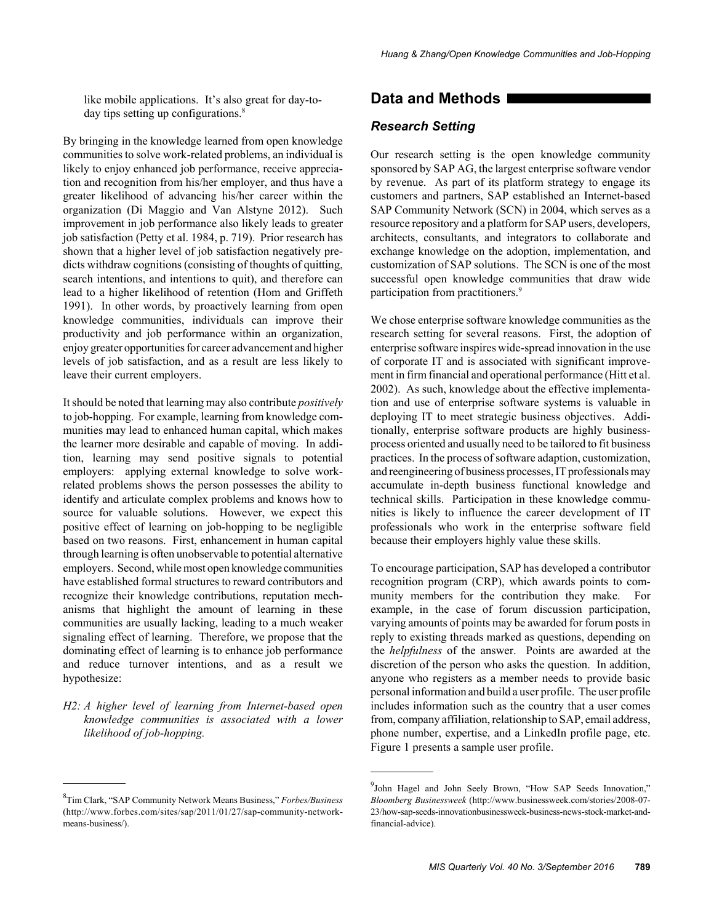like mobile applications. It's also great for day-today tips setting up configurations. $8$ 

By bringing in the knowledge learned from open knowledge communities to solve work-related problems, an individual is likely to enjoy enhanced job performance, receive appreciation and recognition from his/her employer, and thus have a greater likelihood of advancing his/her career within the organization (Di Maggio and Van Alstyne 2012). Such improvement in job performance also likely leads to greater job satisfaction (Petty et al. 1984, p. 719). Prior research has shown that a higher level of job satisfaction negatively predicts withdraw cognitions (consisting of thoughts of quitting, search intentions, and intentions to quit), and therefore can lead to a higher likelihood of retention (Hom and Griffeth 1991). In other words, by proactively learning from open knowledge communities, individuals can improve their productivity and job performance within an organization, enjoy greater opportunities for career advancement and higher levels of job satisfaction, and as a result are less likely to leave their current employers.

It should be noted that learning may also contribute *positively* to job-hopping. For example, learning from knowledge communities may lead to enhanced human capital, which makes the learner more desirable and capable of moving. In addition, learning may send positive signals to potential employers: applying external knowledge to solve workrelated problems shows the person possesses the ability to identify and articulate complex problems and knows how to source for valuable solutions. However, we expect this positive effect of learning on job-hopping to be negligible based on two reasons. First, enhancement in human capital through learning is often unobservable to potential alternative employers. Second, while most open knowledge communities have established formal structures to reward contributors and recognize their knowledge contributions, reputation mechanisms that highlight the amount of learning in these communities are usually lacking, leading to a much weaker signaling effect of learning. Therefore, we propose that the dominating effect of learning is to enhance job performance and reduce turnover intentions, and as a result we hypothesize:

*H2: A higher level of learning from Internet-based open knowledge communities is associated with a lower likelihood of job-hopping.*

# **Data and Methods**

#### *Research Setting*

Our research setting is the open knowledge community sponsored by SAP AG, the largest enterprise software vendor by revenue. As part of its platform strategy to engage its customers and partners, SAP established an Internet-based SAP Community Network (SCN) in 2004, which serves as a resource repository and a platform for SAP users, developers, architects, consultants, and integrators to collaborate and exchange knowledge on the adoption, implementation, and customization of SAP solutions. The SCN is one of the most successful open knowledge communities that draw wide participation from practitioners.<sup>9</sup>

We chose enterprise software knowledge communities as the research setting for several reasons. First, the adoption of enterprise software inspires wide-spread innovation in the use of corporate IT and is associated with significant improvement in firm financial and operational performance (Hitt et al. 2002). As such, knowledge about the effective implementation and use of enterprise software systems is valuable in deploying IT to meet strategic business objectives. Additionally, enterprise software products are highly businessprocess oriented and usually need to be tailored to fit business practices. In the process of software adaption, customization, and reengineering of business processes, IT professionals may accumulate in-depth business functional knowledge and technical skills. Participation in these knowledge communities is likely to influence the career development of IT professionals who work in the enterprise software field because their employers highly value these skills.

To encourage participation, SAP has developed a contributor recognition program (CRP), which awards points to community members for the contribution they make. For example, in the case of forum discussion participation, varying amounts of points may be awarded for forum posts in reply to existing threads marked as questions, depending on the *helpfulness* of the answer. Points are awarded at the discretion of the person who asks the question. In addition, anyone who registers as a member needs to provide basic personal information and build a user profile. The user profile includes information such as the country that a user comes from, company affiliation, relationship to SAP, email address, phone number, expertise, and a LinkedIn profile page, etc. Figure 1 presents a sample user profile.

<sup>8</sup> Tim Clark, "SAP Community Network Means Business," *Forbes/Business* (http://www.forbes.com/sites/sap/2011/01/27/sap-community-networkmeans-business/).

<sup>&</sup>lt;sup>9</sup>John Hagel and John Seely Brown, "How SAP Seeds Innovation," *Bloomberg Businessweek* (http://www.businessweek.com/stories/2008-07- 23/how-sap-seeds-innovationbusinessweek-business-news-stock-market-andfinancial-advice).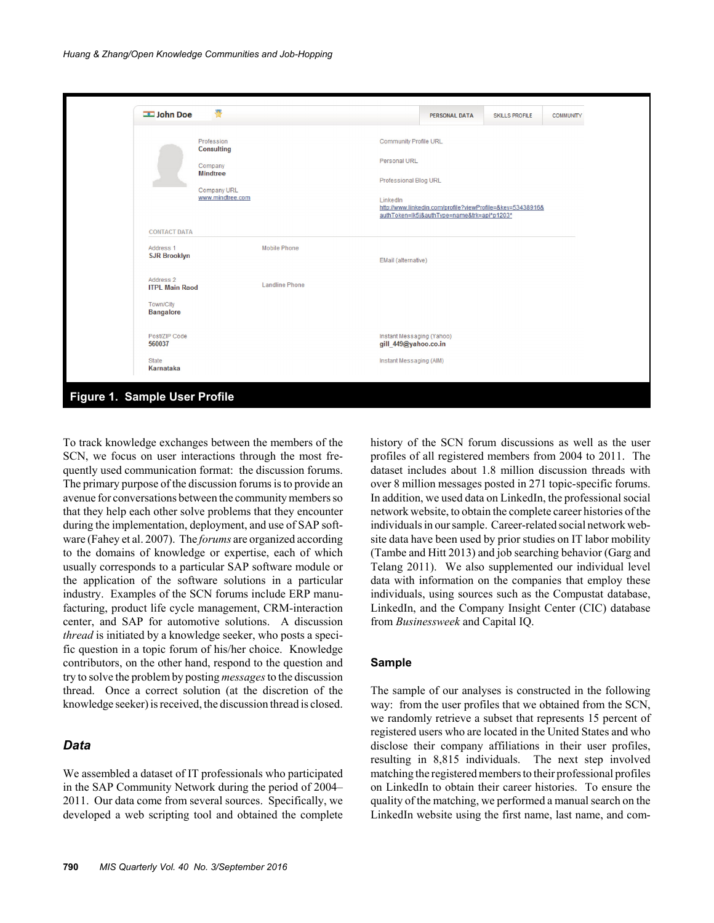| John Doe                           | ₩                                                                                                |                       |                                                                                          | <b>PERSONAL DATA</b>                                                                                      | <b>SKILLS PROFILE</b> | <b>COMMUNITY</b> |
|------------------------------------|--------------------------------------------------------------------------------------------------|-----------------------|------------------------------------------------------------------------------------------|-----------------------------------------------------------------------------------------------------------|-----------------------|------------------|
|                                    | Profession<br><b>Consulting</b><br>Company<br><b>Mindtree</b><br>Company URL<br>www.mindtree.com |                       | <b>Community Profile URL</b><br>Personal URL<br><b>Professional Blog URL</b><br>LinkedIn | http://www.linkedin.com/profile?viewProfile=&key=53438916&<br>authToken=lk5j&authType=name&trk=api*p1203* |                       |                  |
| <b>CONTACT DATA</b>                |                                                                                                  |                       |                                                                                          |                                                                                                           |                       |                  |
| Address 1<br><b>SJR Brooklyn</b>   |                                                                                                  | <b>Mobile Phone</b>   | EMail (alternative)                                                                      |                                                                                                           |                       |                  |
| Address 2<br><b>ITPL Main Raod</b> |                                                                                                  | <b>Landline Phone</b> |                                                                                          |                                                                                                           |                       |                  |
| Town/City<br><b>Bangalore</b>      |                                                                                                  |                       |                                                                                          |                                                                                                           |                       |                  |
| Post/ZIP Code<br>560037            |                                                                                                  |                       | Instant Messaging (Yahoo)<br>gill 449@yahoo.co.in                                        |                                                                                                           |                       |                  |
| <b>State</b><br><b>Karnataka</b>   |                                                                                                  |                       | Instant Messaging (AIM)                                                                  |                                                                                                           |                       |                  |

To track knowledge exchanges between the members of the SCN, we focus on user interactions through the most frequently used communication format: the discussion forums. The primary purpose of the discussion forums is to provide an avenue for conversations between the community members so that they help each other solve problems that they encounter during the implementation, deployment, and use of SAP software (Fahey et al. 2007). The *forums* are organized according to the domains of knowledge or expertise, each of which usually corresponds to a particular SAP software module or the application of the software solutions in a particular industry. Examples of the SCN forums include ERP manufacturing, product life cycle management, CRM-interaction center, and SAP for automotive solutions. A discussion *thread* is initiated by a knowledge seeker, who posts a specific question in a topic forum of his/her choice. Knowledge contributors, on the other hand, respond to the question and try to solve the problem by posting *messages* to the discussion thread. Once a correct solution (at the discretion of the knowledge seeker) is received, the discussion thread is closed.

## *Data*

We assembled a dataset of IT professionals who participated in the SAP Community Network during the period of 2004– 2011. Our data come from several sources. Specifically, we developed a web scripting tool and obtained the complete history of the SCN forum discussions as well as the user profiles of all registered members from 2004 to 2011. The dataset includes about 1.8 million discussion threads with over 8 million messages posted in 271 topic-specific forums. In addition, we used data on LinkedIn, the professional social network website, to obtain the complete career histories of the individuals in our sample. Career-related social network website data have been used by prior studies on IT labor mobility (Tambe and Hitt 2013) and job searching behavior (Garg and Telang 2011). We also supplemented our individual level data with information on the companies that employ these individuals, using sources such as the Compustat database, LinkedIn, and the Company Insight Center (CIC) database from *Businessweek* and Capital IQ.

#### **Sample**

The sample of our analyses is constructed in the following way: from the user profiles that we obtained from the SCN, we randomly retrieve a subset that represents 15 percent of registered users who are located in the United States and who disclose their company affiliations in their user profiles, resulting in 8,815 individuals. The next step involved matching the registered members to their professional profiles on LinkedIn to obtain their career histories. To ensure the quality of the matching, we performed a manual search on the LinkedIn website using the first name, last name, and com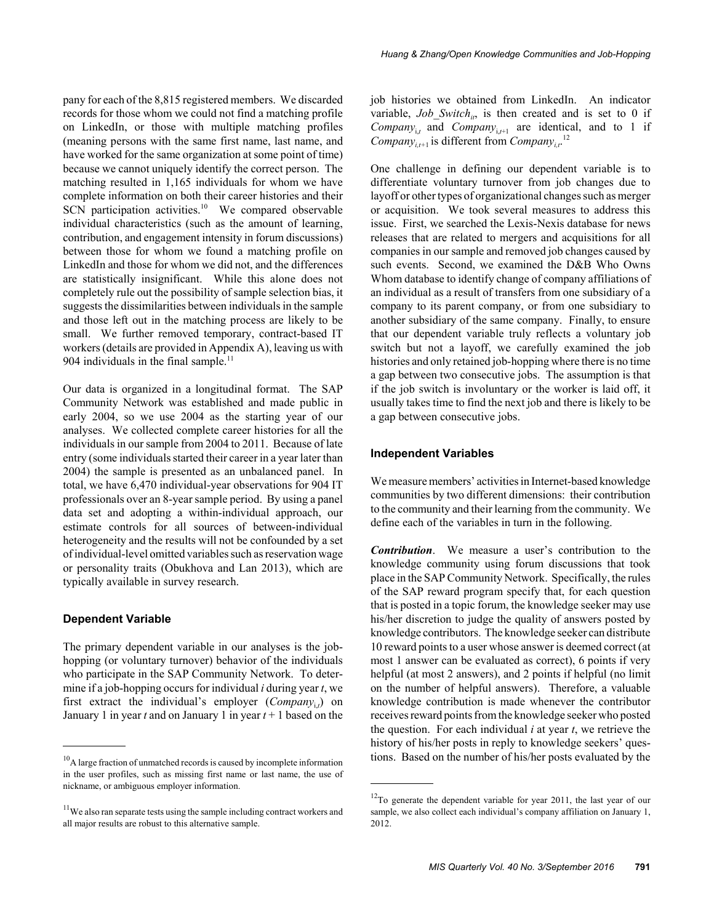pany for each of the 8,815 registered members. We discarded records for those whom we could not find a matching profile on LinkedIn, or those with multiple matching profiles (meaning persons with the same first name, last name, and have worked for the same organization at some point of time) because we cannot uniquely identify the correct person. The matching resulted in 1,165 individuals for whom we have complete information on both their career histories and their SCN participation activities.<sup>10</sup> We compared observable individual characteristics (such as the amount of learning, contribution, and engagement intensity in forum discussions) between those for whom we found a matching profile on LinkedIn and those for whom we did not, and the differences are statistically insignificant. While this alone does not completely rule out the possibility of sample selection bias, it suggests the dissimilarities between individuals in the sample and those left out in the matching process are likely to be small. We further removed temporary, contract-based IT workers (details are provided in Appendix A), leaving us with 904 individuals in the final sample.<sup>11</sup>

Our data is organized in a longitudinal format. The SAP Community Network was established and made public in early 2004, so we use 2004 as the starting year of our analyses. We collected complete career histories for all the individuals in our sample from 2004 to 2011. Because of late entry (some individuals started their career in a year later than 2004) the sample is presented as an unbalanced panel. In total, we have 6,470 individual-year observations for 904 IT professionals over an 8-year sample period. By using a panel data set and adopting a within-individual approach, our estimate controls for all sources of between-individual heterogeneity and the results will not be confounded by a set of individual-level omitted variables such as reservation wage or personality traits (Obukhova and Lan 2013), which are typically available in survey research.

#### **Dependent Variable**

The primary dependent variable in our analyses is the jobhopping (or voluntary turnover) behavior of the individuals who participate in the SAP Community Network. To determine if a job-hopping occurs for individual *i* during year *t*, we first extract the individual's employer (*Company*<sub>i,t</sub>) on January 1 in year *t* and on January 1 in year *t* + 1 based on the job histories we obtained from LinkedIn. An indicator variable, *Job* Switch<sub>ip</sub> is then created and is set to 0 if *Company*<sub>it</sub> and *Company*<sub>it<sup>+1</sup></sub> are identical, and to 1 if *Company*<sub>*i,t+1*</sub> is different from *Company*<sub>*i,t<sup>12</sup>*</sub>

One challenge in defining our dependent variable is to differentiate voluntary turnover from job changes due to layoff or other types of organizational changes such as merger or acquisition. We took several measures to address this issue. First, we searched the Lexis-Nexis database for news releases that are related to mergers and acquisitions for all companies in our sample and removed job changes caused by such events. Second, we examined the D&B Who Owns Whom database to identify change of company affiliations of an individual as a result of transfers from one subsidiary of a company to its parent company, or from one subsidiary to another subsidiary of the same company. Finally, to ensure that our dependent variable truly reflects a voluntary job switch but not a layoff, we carefully examined the job histories and only retained job-hopping where there is no time a gap between two consecutive jobs. The assumption is that if the job switch is involuntary or the worker is laid off, it usually takes time to find the next job and there is likely to be a gap between consecutive jobs.

#### **Independent Variables**

We measure members' activities in Internet-based knowledge communities by two different dimensions: their contribution to the community and their learning from the community. We define each of the variables in turn in the following.

*Contribution*. We measure a user's contribution to the knowledge community using forum discussions that took place in the SAP Community Network. Specifically, the rules of the SAP reward program specify that, for each question that is posted in a topic forum, the knowledge seeker may use his/her discretion to judge the quality of answers posted by knowledge contributors. The knowledge seeker can distribute 10 reward points to a user whose answer is deemed correct (at most 1 answer can be evaluated as correct), 6 points if very helpful (at most 2 answers), and 2 points if helpful (no limit on the number of helpful answers). Therefore, a valuable knowledge contribution is made whenever the contributor receives reward points from the knowledge seeker who posted the question. For each individual *i* at year *t*, we retrieve the history of his/her posts in reply to knowledge seekers' ques-<sup>10</sup> A large fraction of unmatched records is caused by incomplete information tions. Based on the number of his/her posts evaluated by the

in the user profiles, such as missing first name or last name, the use of nickname, or ambiguous employer information.

 $11$ We also ran separate tests using the sample including contract workers and all major results are robust to this alternative sample.

 $12$ To generate the dependent variable for year 2011, the last year of our sample, we also collect each individual's company affiliation on January 1, 2012.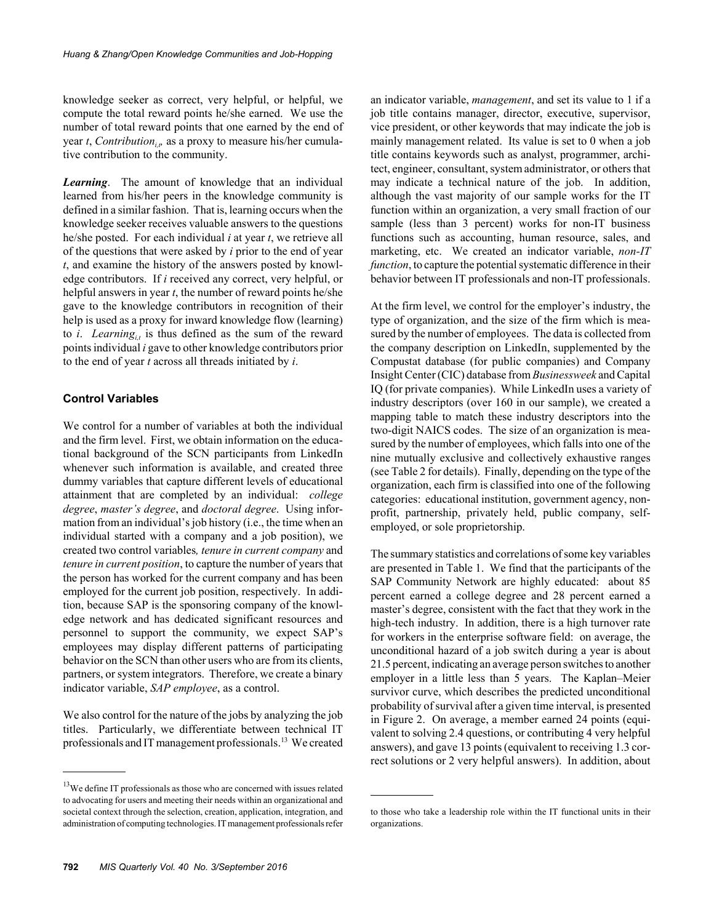knowledge seeker as correct, very helpful, or helpful, we compute the total reward points he/she earned. We use the number of total reward points that one earned by the end of year *t*, *Contribution*<sub>i, *t*</sub> as a proxy to measure his/her cumulative contribution to the community.

*Learning*. The amount of knowledge that an individual learned from his/her peers in the knowledge community is defined in a similar fashion. That is, learning occurs when the knowledge seeker receives valuable answers to the questions he/she posted. For each individual *i* at year *t*, we retrieve all of the questions that were asked by *i* prior to the end of year *t*, and examine the history of the answers posted by knowledge contributors. If *i* received any correct, very helpful, or helpful answers in year *t*, the number of reward points he/she gave to the knowledge contributors in recognition of their help is used as a proxy for inward knowledge flow (learning) to *i*. *Learning<sub>it</sub>* is thus defined as the sum of the reward points individual *i* gave to other knowledge contributors prior to the end of year *t* across all threads initiated by *i*.

#### **Control Variables**

We control for a number of variables at both the individual and the firm level. First, we obtain information on the educational background of the SCN participants from LinkedIn whenever such information is available, and created three dummy variables that capture different levels of educational attainment that are completed by an individual: *college degree*, *master's degree*, and *doctoral degree*. Using information from an individual's job history (i.e., the time when an individual started with a company and a job position), we created two control variables*, tenure in current company* and *tenure in current position*, to capture the number of years that the person has worked for the current company and has been employed for the current job position, respectively. In addition, because SAP is the sponsoring company of the knowledge network and has dedicated significant resources and personnel to support the community, we expect SAP's employees may display different patterns of participating behavior on the SCN than other users who are from its clients, partners, or system integrators. Therefore, we create a binary indicator variable, *SAP employee*, as a control.

We also control for the nature of the jobs by analyzing the job titles. Particularly, we differentiate between technical IT professionals and IT management professionals.13 We created

an indicator variable, *management*, and set its value to 1 if a job title contains manager, director, executive, supervisor, vice president, or other keywords that may indicate the job is mainly management related. Its value is set to 0 when a job title contains keywords such as analyst, programmer, architect, engineer, consultant, system administrator, or others that may indicate a technical nature of the job. In addition, although the vast majority of our sample works for the IT function within an organization, a very small fraction of our sample (less than 3 percent) works for non-IT business functions such as accounting, human resource, sales, and marketing, etc. We created an indicator variable, *non-IT function*, to capture the potential systematic difference in their behavior between IT professionals and non-IT professionals.

At the firm level, we control for the employer's industry, the type of organization, and the size of the firm which is measured by the number of employees. The data is collected from the company description on LinkedIn, supplemented by the Compustat database (for public companies) and Company Insight Center (CIC) database from *Businessweek* and Capital IQ (for private companies). While LinkedIn uses a variety of industry descriptors (over 160 in our sample), we created a mapping table to match these industry descriptors into the two-digit NAICS codes. The size of an organization is measured by the number of employees, which falls into one of the nine mutually exclusive and collectively exhaustive ranges (see Table 2 for details). Finally, depending on the type of the organization, each firm is classified into one of the following categories: educational institution, government agency, nonprofit, partnership, privately held, public company, selfemployed, or sole proprietorship.

The summary statistics and correlations of some key variables are presented in Table 1. We find that the participants of the SAP Community Network are highly educated: about 85 percent earned a college degree and 28 percent earned a master's degree, consistent with the fact that they work in the high-tech industry. In addition, there is a high turnover rate for workers in the enterprise software field: on average, the unconditional hazard of a job switch during a year is about 21.5 percent, indicating an average person switches to another employer in a little less than 5 years. The Kaplan–Meier survivor curve, which describes the predicted unconditional probability of survival after a given time interval, is presented in Figure 2. On average, a member earned 24 points (equivalent to solving 2.4 questions, or contributing 4 very helpful answers), and gave 13 points (equivalent to receiving 1.3 correct solutions or 2 very helpful answers). In addition, about

 $13$ We define IT professionals as those who are concerned with issues related to advocating for users and meeting their needs within an organizational and societal context through the selection, creation, application, integration, and administration of computing technologies. IT management professionals refer

to those who take a leadership role within the IT functional units in their organizations.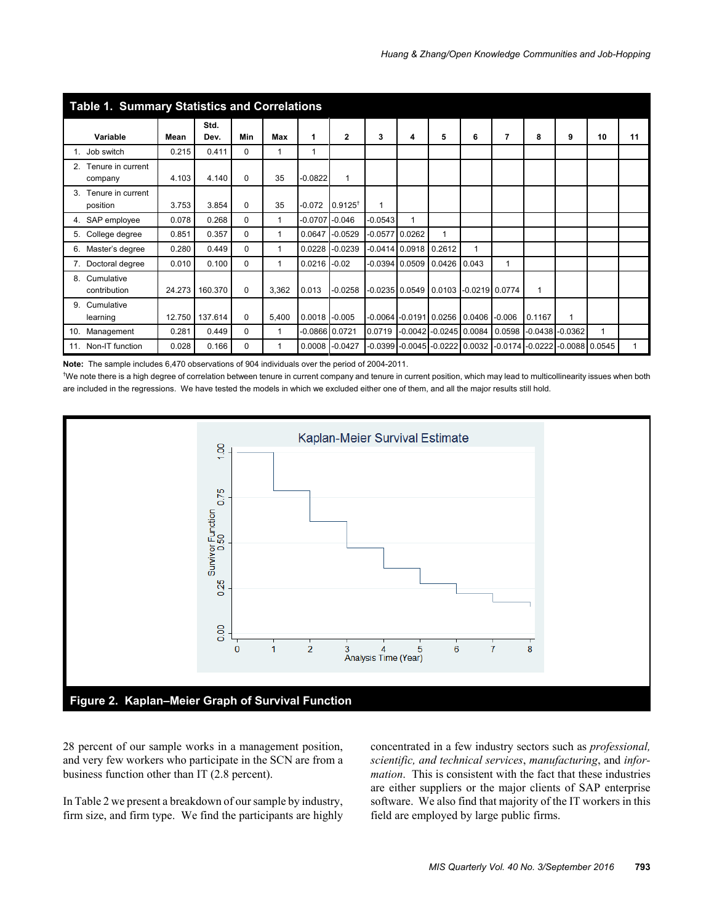| <b>Table 1. Summary Statistics and Correlations</b> |        |              |          |       |                  |                    |                  |                            |                                      |                  |          |                    |                    |    |    |
|-----------------------------------------------------|--------|--------------|----------|-------|------------------|--------------------|------------------|----------------------------|--------------------------------------|------------------|----------|--------------------|--------------------|----|----|
| Variable                                            | Mean   | Std.<br>Dev. | Min      | Max   | 1                | $\mathbf{2}$       | 3                | 4                          | 5                                    | 6                | 7        | 8                  | 9                  | 10 | 11 |
| Job switch                                          | 0.215  | 0.411        | 0        | 1     |                  |                    |                  |                            |                                      |                  |          |                    |                    |    |    |
| Tenure in current<br>company                        | 4.103  | 4.140        | 0        | 35    | $-0.0822$        | 1                  |                  |                            |                                      |                  |          |                    |                    |    |    |
| Tenure in current<br>3.<br>position                 | 3.753  | 3.854        | 0        | 35    | $-0.072$         | $0.9125^{\dagger}$ | 1                |                            |                                      |                  |          |                    |                    |    |    |
| SAP employee<br>4.                                  | 0.078  | 0.268        | 0        | 1     | $-0.0707$        | $-0.046$           | $-0.0543$        | 1                          |                                      |                  |          |                    |                    |    |    |
| College degree<br>5.                                | 0.851  | 0.357        | 0        | 1     | 0.0647           | $-0.0529$          |                  | $-0.0577$ 0.0262           | 1                                    |                  |          |                    |                    |    |    |
| Master's degree<br>6.                               | 0.280  | 0.449        | 0        | 1     | 0.0228           | $-0.0239$          | $-0.0414$ 0.0918 |                            | 0.2612                               | 1                |          |                    |                    |    |    |
| Doctoral degree                                     | 0.010  | 0.100        | 0        | 1     | 0.0216           | $-0.02$            |                  | $-0.0394$ 0.0509           | 0.0426                               | 0.043            | 1        |                    |                    |    |    |
| Cumulative<br>8.<br>contribution                    | 24.273 | 160.370      | $\Omega$ | 3,362 | 0.013            | $-0.0258$          |                  | $-0.0235$ 0.0549           | 0.0103                               | $-0.0219$ 0.0774 |          | 1                  |                    |    |    |
| Cumulative<br>9<br>learning                         | 12.750 | 137.614      | 0        | 5,400 | $0.0018 - 0.005$ |                    |                  | $-0.0064$ $-0.0191$ 0.0256 |                                      | 0.0406           | $-0.006$ | 0.1167             | 1                  |    |    |
| Management<br>10.                                   | 0.281  | 0.449        | 0        | 1     | $-0.0866$ 0.0721 |                    | 0.0719           |                            | $-0.0042$ $-0.0245$ 0.0084           |                  | 0.0598   |                    | $-0.0438 - 0.0362$ | 1  |    |
| Non-IT function<br>11.                              | 0.028  | 0.166        | 0        |       | 0.0008           | $-0.0427$          |                  |                            | $-0.0399$ $-0.0045$ $-0.0222$ 0.0032 |                  |          | $-0.0174 - 0.0222$ | $-0.0088$ 0.0545   |    |    |

**Note:** The sample includes 6,470 observations of 904 individuals over the period of 2004-2011.

† We note there is a high degree of correlation between tenure in current company and tenure in current position, which may lead to multicollinearity issues when both are included in the regressions. We have tested the models in which we excluded either one of them, and all the major results still hold.



28 percent of our sample works in a management position, and very few workers who participate in the SCN are from a business function other than IT (2.8 percent).

In Table 2 we present a breakdown of our sample by industry, firm size, and firm type. We find the participants are highly

concentrated in a few industry sectors such as *professional, scientific, and technical services*, *manufacturing*, and *information*. This is consistent with the fact that these industries are either suppliers or the major clients of SAP enterprise software. We also find that majority of the IT workers in this field are employed by large public firms.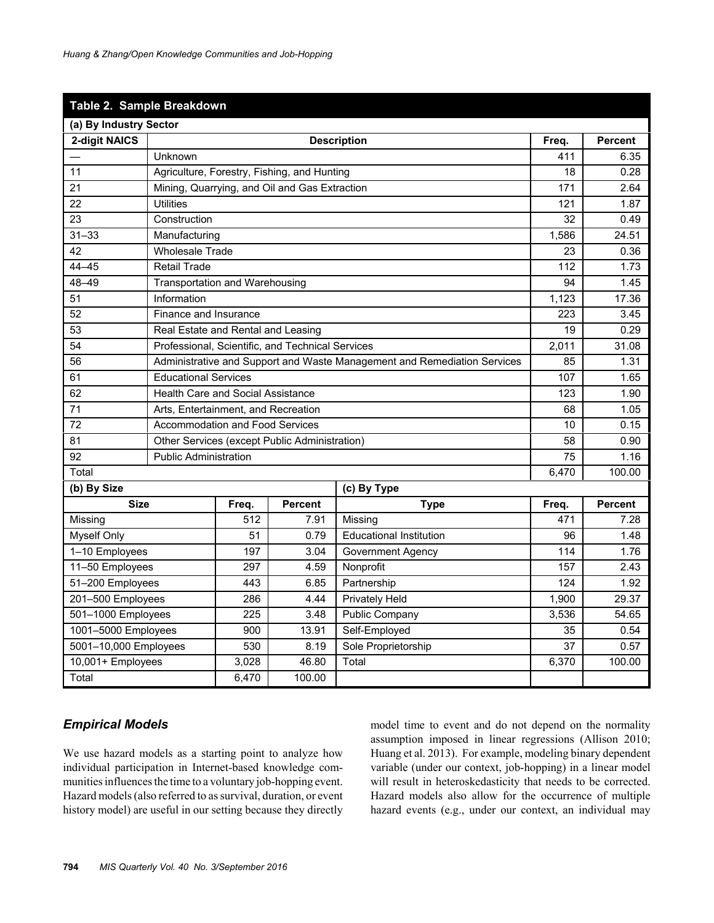| Table 2. Sample Breakdown                                   |                                                                          |       |                |                                |       |                |  |  |
|-------------------------------------------------------------|--------------------------------------------------------------------------|-------|----------------|--------------------------------|-------|----------------|--|--|
| (a) By Industry Sector                                      |                                                                          |       |                |                                |       |                |  |  |
| 2-digit NAICS                                               | <b>Description</b>                                                       |       |                |                                |       | <b>Percent</b> |  |  |
|                                                             | Unknown                                                                  |       |                |                                |       |                |  |  |
| 11                                                          | Agriculture, Forestry, Fishing, and Hunting                              |       |                |                                |       | 0.28           |  |  |
| 21                                                          | Mining, Quarrying, and Oil and Gas Extraction                            |       |                |                                |       | 2.64           |  |  |
| 22                                                          | <b>Utilities</b>                                                         | 121   | 1.87           |                                |       |                |  |  |
| 23                                                          | Construction                                                             |       |                |                                | 32    | 0.49           |  |  |
| $31 - 33$                                                   | Manufacturing                                                            |       |                |                                | 1,586 | 24.51          |  |  |
| 42                                                          | <b>Wholesale Trade</b>                                                   |       |                |                                | 23    | 0.36           |  |  |
| $44 - 45$                                                   | <b>Retail Trade</b>                                                      |       |                |                                | 112   | 1.73           |  |  |
| 48-49                                                       | <b>Transportation and Warehousing</b>                                    |       |                |                                | 94    | 1.45           |  |  |
| 51                                                          | Information                                                              |       |                |                                | 1,123 | 17.36          |  |  |
| 52                                                          | Finance and Insurance                                                    |       |                |                                | 223   | 3.45           |  |  |
| 53                                                          | Real Estate and Rental and Leasing                                       |       |                |                                | 19    | 0.29           |  |  |
| 54                                                          | Professional, Scientific, and Technical Services                         |       |                |                                |       | 31.08          |  |  |
| 56                                                          | Administrative and Support and Waste Management and Remediation Services |       |                |                                |       | 1.31           |  |  |
| 61                                                          | <b>Educational Services</b>                                              |       |                |                                |       | 1.65           |  |  |
| 62                                                          | Health Care and Social Assistance                                        |       |                |                                |       | 1.90           |  |  |
| 71                                                          | Arts, Entertainment, and Recreation                                      |       |                |                                |       | 1.05           |  |  |
| 72                                                          | <b>Accommodation and Food Services</b>                                   | 10    | 0.15           |                                |       |                |  |  |
| 81                                                          | Other Services (except Public Administration)                            |       |                |                                |       | 0.90           |  |  |
| 92                                                          | <b>Public Administration</b>                                             |       |                |                                |       | 1.16           |  |  |
| Total                                                       |                                                                          |       |                |                                | 6.470 | 100.00         |  |  |
| (b) By Size                                                 |                                                                          |       |                | (c) By Type                    |       |                |  |  |
| <b>Size</b>                                                 |                                                                          | Freq. | <b>Percent</b> | <b>Type</b>                    | Freq. | <b>Percent</b> |  |  |
| Missing                                                     |                                                                          | 512   | 7.91           | Missing                        | 471   | 7.28           |  |  |
| <b>Myself Only</b>                                          |                                                                          | 51    | 0.79           | <b>Educational Institution</b> | 96    | 1.48           |  |  |
| 1-10 Employees                                              | 3.04<br>197<br>Government Agency                                         |       | 114            | 1.76                           |       |                |  |  |
|                                                             | 11-50 Employees<br>4.59<br>Nonprofit<br>297                              |       |                | 157                            | 2.43  |                |  |  |
| 51-200 Employees<br>443<br>6.85<br>Partnership              |                                                                          |       | 124            | 1.92                           |       |                |  |  |
| 201-500 Employees<br>4.44<br>Privately Held<br>286          |                                                                          | 1,900 | 29.37          |                                |       |                |  |  |
| 501-1000 Employees<br>3.48<br>Public Company<br>225         |                                                                          |       | 3,536          | 54.65                          |       |                |  |  |
| 1001-5000 Employees                                         |                                                                          | 900   | 13.91          | Self-Employed                  | 35    | 0.54           |  |  |
| 5001-10,000 Employees<br>8.19<br>Sole Proprietorship<br>530 |                                                                          |       | 37             | 0.57                           |       |                |  |  |
| 10,001+ Employees                                           |                                                                          | 3,028 | 46.80          | Total                          | 6,370 | 100.00         |  |  |
| Total                                                       |                                                                          | 6,470 | 100.00         |                                |       |                |  |  |

## *Empirical Models*

We use hazard models as a starting point to analyze how individual participation in Internet-based knowledge communities influences the time to a voluntary job-hopping event. Hazard models (also referred to as survival, duration, or event history model) are useful in our setting because they directly model time to event and do not depend on the normality assumption imposed in linear regressions (Allison 2010; Huang et al. 2013). For example, modeling binary dependent variable (under our context, job-hopping) in a linear model will result in heteroskedasticity that needs to be corrected. Hazard models also allow for the occurrence of multiple hazard events (e.g., under our context, an individual may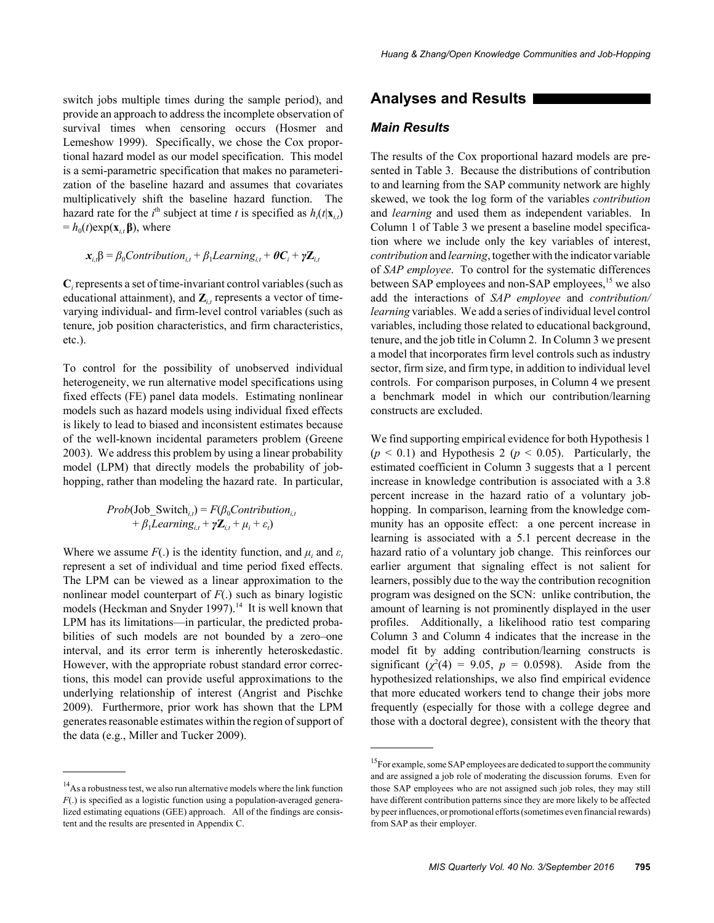switch jobs multiple times during the sample period), and provide an approach to address the incomplete observation of survival times when censoring occurs (Hosmer and Lemeshow 1999). Specifically, we chose the Cox proportional hazard model as our model specification. This model is a semi-parametric specification that makes no parameterization of the baseline hazard and assumes that covariates multiplicatively shift the baseline hazard function. The hazard rate for the *i*<sup>th</sup> subject at time *t* is specified as  $h_i(t|\mathbf{x}_{i,t})$  $= h_0(t) \exp(\mathbf{x}_{i,t} \mathbf{\beta})$ , where

$$
\mathbf{x}_{i,t}\mathbf{\beta} = \beta_0\text{Contribution}_{i,t} + \beta_1\text{Learning}_{i,t} + \theta\mathbf{C}_i + \gamma\mathbf{Z}_{i,t}
$$

 $C<sub>i</sub>$  represents a set of time-invariant control variables (such as educational attainment), and  $\mathbf{Z}_i$ , represents a vector of timevarying individual- and firm-level control variables (such as tenure, job position characteristics, and firm characteristics, etc.).

To control for the possibility of unobserved individual heterogeneity, we run alternative model specifications using fixed effects (FE) panel data models. Estimating nonlinear models such as hazard models using individual fixed effects is likely to lead to biased and inconsistent estimates because of the well-known incidental parameters problem (Greene 2003). We address this problem by using a linear probability model (LPM) that directly models the probability of jobhopping, rather than modeling the hazard rate. In particular,

*Prob*(Job\_Switch<sub>i,t</sub>) = 
$$
F(\beta_0
$$
*Contribution<sub>i,t</sub>*  
+  $\beta_1$ *Learning<sub>i,t</sub>* +  $\gamma$ **Z**<sub>i,t</sub> +  $\mu_i$  +  $\varepsilon_i$ )

Where we assume  $F(.)$  is the identity function, and  $\mu_i$  and  $\varepsilon_i$ represent a set of individual and time period fixed effects. The LPM can be viewed as a linear approximation to the nonlinear model counterpart of *F*(.) such as binary logistic models (Heckman and Snyder 1997).<sup>14</sup> It is well known that LPM has its limitations—in particular, the predicted probabilities of such models are not bounded by a zero–one interval, and its error term is inherently heteroskedastic. However, with the appropriate robust standard error corrections, this model can provide useful approximations to the underlying relationship of interest (Angrist and Pischke 2009). Furthermore, prior work has shown that the LPM generates reasonable estimates within the region of support of the data (e.g., Miller and Tucker 2009).

## **Analyses and Results**

#### *Main Results*

The results of the Cox proportional hazard models are presented in Table 3. Because the distributions of contribution to and learning from the SAP community network are highly skewed, we took the log form of the variables *contribution* and *learning* and used them as independent variables. In Column 1 of Table 3 we present a baseline model specification where we include only the key variables of interest, *contribution* and *learning*, together with the indicator variable of *SAP employee*. To control for the systematic differences between SAP employees and non-SAP employees,<sup>15</sup> we also add the interactions of *SAP employee* and *contribution/ learning* variables. We add a series of individual level control variables, including those related to educational background, tenure, and the job title in Column 2. In Column 3 we present a model that incorporates firm level controls such as industry sector, firm size, and firm type, in addition to individual level controls. For comparison purposes, in Column 4 we present a benchmark model in which our contribution/learning constructs are excluded.

We find supporting empirical evidence for both Hypothesis 1  $(p < 0.1)$  and Hypothesis 2  $(p < 0.05)$ . Particularly, the estimated coefficient in Column 3 suggests that a 1 percent increase in knowledge contribution is associated with a 3.8 percent increase in the hazard ratio of a voluntary jobhopping. In comparison, learning from the knowledge community has an opposite effect: a one percent increase in learning is associated with a 5.1 percent decrease in the hazard ratio of a voluntary job change. This reinforces our earlier argument that signaling effect is not salient for learners, possibly due to the way the contribution recognition program was designed on the SCN: unlike contribution, the amount of learning is not prominently displayed in the user profiles. Additionally, a likelihood ratio test comparing Column 3 and Column 4 indicates that the increase in the model fit by adding contribution/learning constructs is significant  $(\chi^2(4) = 9.05, p = 0.0598)$ . Aside from the hypothesized relationships, we also find empirical evidence that more educated workers tend to change their jobs more frequently (especially for those with a college degree and those with a doctoral degree), consistent with the theory that

<sup>&</sup>lt;sup>14</sup>As a robustness test, we also run alternative models where the link function *F*(.) is specified as a logistic function using a population-averaged generalized estimating equations (GEE) approach. All of the findings are consistent and the results are presented in Appendix C.

<sup>&</sup>lt;sup>15</sup>For example, some SAP employees are dedicated to support the community and are assigned a job role of moderating the discussion forums. Even for those SAP employees who are not assigned such job roles, they may still have different contribution patterns since they are more likely to be affected by peer influences, or promotional efforts (sometimes even financial rewards) from SAP as their employer.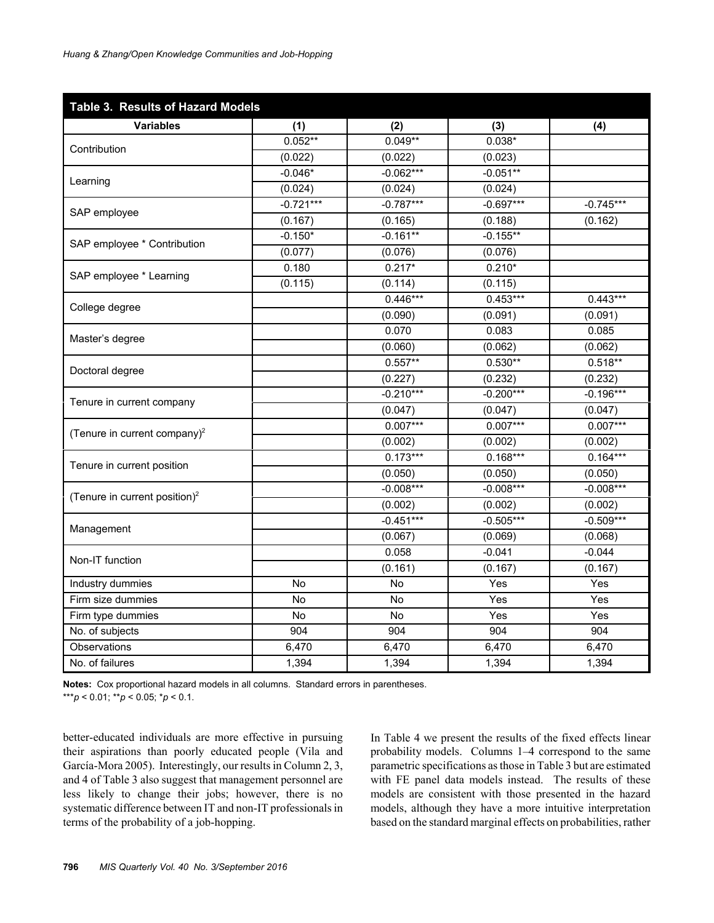| Table 3. Results of Hazard Models         |             |                        |             |             |  |  |  |
|-------------------------------------------|-------------|------------------------|-------------|-------------|--|--|--|
| <b>Variables</b>                          | (1)         | (2)                    | (3)         | (4)         |  |  |  |
|                                           | $0.052**$   | $0.049**$              | $0.038*$    |             |  |  |  |
| Contribution                              | (0.022)     | (0.022)                | (0.023)     |             |  |  |  |
|                                           | $-0.046*$   | $-0.062***$            | $-0.051**$  |             |  |  |  |
| Learning                                  | (0.024)     | (0.024)                | (0.024)     |             |  |  |  |
|                                           | $-0.721***$ | $-0.787***$            | $-0.697***$ | $-0.745***$ |  |  |  |
| SAP employee                              | (0.167)     | (0.165)                | (0.188)     | (0.162)     |  |  |  |
|                                           | $-0.150*$   | $-0.161**$             | $-0.155**$  |             |  |  |  |
| SAP employee * Contribution               | (0.077)     | (0.076)                | (0.076)     |             |  |  |  |
|                                           | 0.180       | $0.217*$               | $0.210*$    |             |  |  |  |
| SAP employee * Learning                   | (0.115)     | (0.114)                | (0.115)     |             |  |  |  |
|                                           |             | $0.446***$             | $0.453***$  | $0.443***$  |  |  |  |
| College degree                            |             | (0.090)                | (0.091)     | (0.091)     |  |  |  |
|                                           |             | 0.070                  | 0.083       | 0.085       |  |  |  |
| Master's degree                           |             | (0.060)                | (0.062)     | (0.062)     |  |  |  |
| Doctoral degree                           |             | $0.557**$              | $0.530**$   | $0.518**$   |  |  |  |
|                                           |             | (0.227)                | (0.232)     | (0.232)     |  |  |  |
|                                           |             | $-0.210***$            | $-0.200***$ | $-0.196***$ |  |  |  |
| Tenure in current company                 |             | (0.047)                | (0.047)     | (0.047)     |  |  |  |
| (Tenure in current company) <sup>2</sup>  |             | $\overline{0.007}$ *** | $0.007***$  | $0.007***$  |  |  |  |
|                                           |             | (0.002)                | (0.002)     | (0.002)     |  |  |  |
| Tenure in current position                |             | $0.173***$             | $0.168***$  | $0.164***$  |  |  |  |
|                                           |             | (0.050)                | (0.050)     | (0.050)     |  |  |  |
| (Tenure in current position) <sup>2</sup> |             | $-0.008***$            | $-0.008***$ | $-0.008***$ |  |  |  |
|                                           |             | (0.002)                | (0.002)     | (0.002)     |  |  |  |
| Management                                |             | $-0.451***$            | $-0.505***$ | $-0.509***$ |  |  |  |
|                                           |             | (0.067)                | (0.069)     | (0.068)     |  |  |  |
| Non-IT function                           |             | 0.058                  | $-0.041$    | $-0.044$    |  |  |  |
|                                           |             | (0.161)                | (0.167)     | (0.167)     |  |  |  |
| Industry dummies                          | No          | No                     | Yes         | Yes         |  |  |  |
| Firm size dummies                         | No          | No                     | Yes         | Yes         |  |  |  |
| Firm type dummies                         | <b>No</b>   | <b>No</b>              | Yes         | Yes         |  |  |  |
| No. of subjects                           | 904         | 904                    | 904         | 904         |  |  |  |
| Observations                              | 6,470       | 6,470                  | 6,470       | 6,470       |  |  |  |
| No. of failures                           | 1,394       | 1,394                  | 1,394       | 1,394       |  |  |  |

**Notes:** Cox proportional hazard models in all columns. Standard errors in parentheses.

\*\*\**p* < 0.01; \*\**p* < 0.05; \**p* < 0.1.

better-educated individuals are more effective in pursuing their aspirations than poorly educated people (Vila and García-Mora 2005). Interestingly, our results in Column 2, 3, and 4 of Table 3 also suggest that management personnel are less likely to change their jobs; however, there is no systematic difference between IT and non-IT professionals in terms of the probability of a job-hopping.

In Table 4 we present the results of the fixed effects linear probability models. Columns 1–4 correspond to the same parametric specifications as those in Table 3 but are estimated with FE panel data models instead. The results of these models are consistent with those presented in the hazard models, although they have a more intuitive interpretation based on the standard marginal effects on probabilities, rather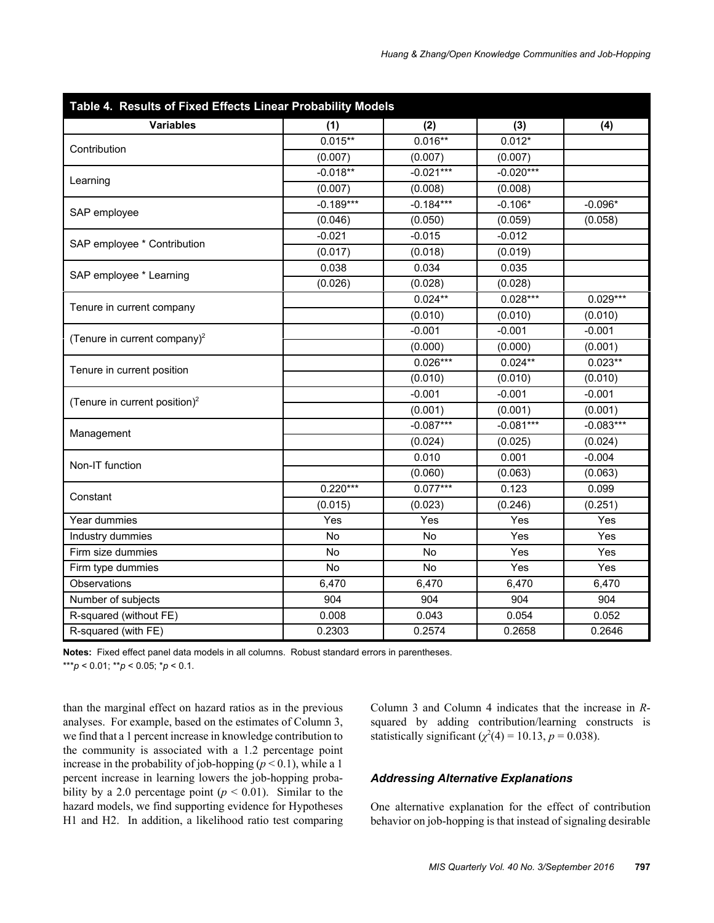| Table 4. Results of Fixed Effects Linear Probability Models |             |                       |             |             |  |  |  |
|-------------------------------------------------------------|-------------|-----------------------|-------------|-------------|--|--|--|
| <b>Variables</b>                                            | (1)         | (2)                   | (3)         | (4)         |  |  |  |
| Contribution                                                | $0.015**$   | $0.016**$             | $0.012*$    |             |  |  |  |
|                                                             | (0.007)     | (0.007)               | (0.007)     |             |  |  |  |
|                                                             | $-0.018**$  | $-0.021***$           | $-0.020***$ |             |  |  |  |
| Learning                                                    | (0.007)     | (0.008)               | (0.008)     |             |  |  |  |
|                                                             | $-0.189***$ | $-0.184***$           | $-0.106*$   | $-0.096*$   |  |  |  |
| SAP employee                                                | (0.046)     | (0.050)               | (0.059)     | (0.058)     |  |  |  |
|                                                             | $-0.021$    | $-0.015$              | $-0.012$    |             |  |  |  |
| SAP employee * Contribution                                 | (0.017)     | (0.018)               | (0.019)     |             |  |  |  |
|                                                             | 0.038       | 0.034                 | 0.035       |             |  |  |  |
| SAP employee * Learning                                     | (0.026)     | (0.028)               | (0.028)     |             |  |  |  |
|                                                             |             | $\overline{0.024}$ ** | $0.028***$  | $0.029***$  |  |  |  |
| Tenure in current company                                   |             | (0.010)               | (0.010)     | (0.010)     |  |  |  |
|                                                             |             | $-0.001$              | $-0.001$    | $-0.001$    |  |  |  |
| (Tenure in current company) <sup>2</sup>                    |             | (0.000)               | (0.000)     | (0.001)     |  |  |  |
|                                                             |             | $0.026***$            | $0.024**$   | $0.023**$   |  |  |  |
| Tenure in current position                                  |             | (0.010)               | (0.010)     | (0.010)     |  |  |  |
| (Tenure in current position) <sup>2</sup>                   |             | $-0.001$              | $-0.001$    | $-0.001$    |  |  |  |
|                                                             |             | (0.001)               | (0.001)     | (0.001)     |  |  |  |
| Management                                                  |             | $-0.087***$           | $-0.081***$ | $-0.083***$ |  |  |  |
|                                                             |             | (0.024)               | (0.025)     | (0.024)     |  |  |  |
| Non-IT function                                             |             | 0.010                 | 0.001       | $-0.004$    |  |  |  |
|                                                             |             | (0.060)               | (0.063)     | (0.063)     |  |  |  |
| Constant                                                    | $0.220***$  | $0.077***$            | 0.123       | 0.099       |  |  |  |
|                                                             | (0.015)     | (0.023)               | (0.246)     | (0.251)     |  |  |  |
| Year dummies                                                | Yes         | Yes                   | Yes         | Yes         |  |  |  |
| Industry dummies                                            | No          | No                    | Yes         | Yes         |  |  |  |
| Firm size dummies                                           | No          | No                    | Yes         | Yes         |  |  |  |
| Firm type dummies                                           | No          | No                    | Yes         | Yes         |  |  |  |
| Observations                                                | 6,470       | 6,470                 | 6,470       | 6,470       |  |  |  |
| Number of subjects                                          | 904         | 904                   | 904         | 904         |  |  |  |
| R-squared (without FE)                                      | 0.008       | 0.043                 | 0.054       | 0.052       |  |  |  |
| R-squared (with FE)                                         | 0.2303      | 0.2574                | 0.2658      | 0.2646      |  |  |  |

**Notes:**Fixed effect panel data models in all columns. Robust standard errors in parentheses.

\*\*\**p* < 0.01; \*\**p* < 0.05; \**p* < 0.1.

than the marginal effect on hazard ratios as in the previous analyses. For example, based on the estimates of Column 3, we find that a 1 percent increase in knowledge contribution to the community is associated with a 1.2 percentage point increase in the probability of job-hopping  $(p < 0.1)$ , while a 1 percent increase in learning lowers the job-hopping probability by a 2.0 percentage point  $(p < 0.01)$ . Similar to the hazard models, we find supporting evidence for Hypotheses H1 and H2. In addition, a likelihood ratio test comparing

Column 3 and Column 4 indicates that the increase in *R*squared by adding contribution/learning constructs is statistically significant  $(\chi^2(4) = 10.13, p = 0.038)$ .

#### *Addressing Alternative Explanations*

One alternative explanation for the effect of contribution behavior on job-hopping is that instead of signaling desirable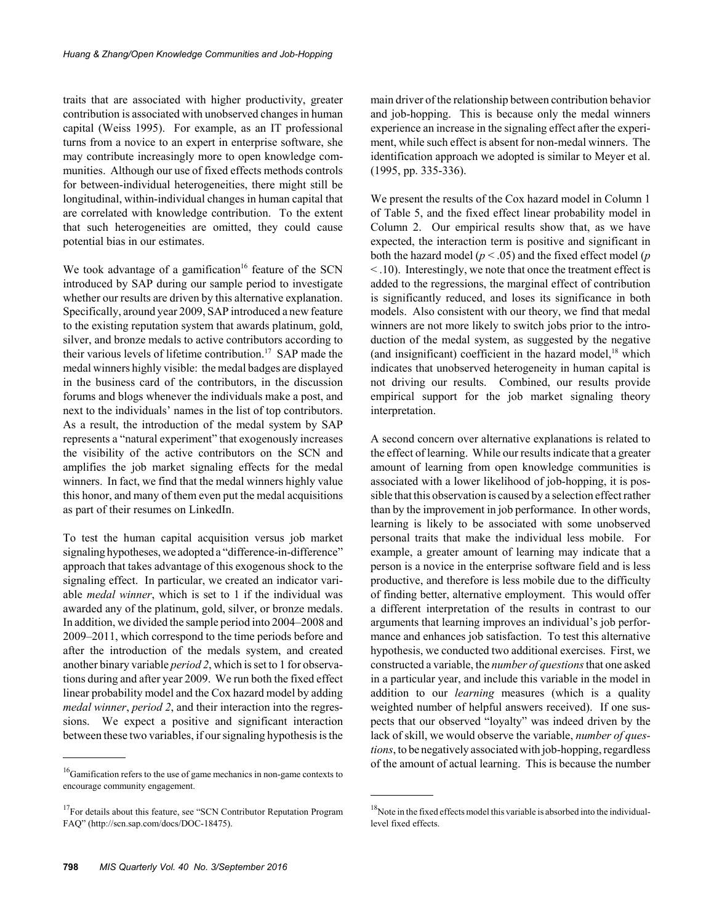traits that are associated with higher productivity, greater contribution is associated with unobserved changes in human capital (Weiss 1995). For example, as an IT professional turns from a novice to an expert in enterprise software, she may contribute increasingly more to open knowledge communities. Although our use of fixed effects methods controls for between-individual heterogeneities, there might still be longitudinal, within-individual changes in human capital that are correlated with knowledge contribution. To the extent that such heterogeneities are omitted, they could cause potential bias in our estimates.

We took advantage of a gamification<sup>16</sup> feature of the SCN introduced by SAP during our sample period to investigate whether our results are driven by this alternative explanation. Specifically, around year 2009, SAP introduced a new feature to the existing reputation system that awards platinum, gold, silver, and bronze medals to active contributors according to their various levels of lifetime contribution.17 SAP made the medal winners highly visible: the medal badges are displayed in the business card of the contributors, in the discussion forums and blogs whenever the individuals make a post, and next to the individuals' names in the list of top contributors. As a result, the introduction of the medal system by SAP represents a "natural experiment" that exogenously increases the visibility of the active contributors on the SCN and amplifies the job market signaling effects for the medal winners. In fact, we find that the medal winners highly value this honor, and many of them even put the medal acquisitions as part of their resumes on LinkedIn.

To test the human capital acquisition versus job market signaling hypotheses, we adopted a "difference-in-difference" approach that takes advantage of this exogenous shock to the signaling effect. In particular, we created an indicator variable *medal winner*, which is set to 1 if the individual was awarded any of the platinum, gold, silver, or bronze medals. In addition, we divided the sample period into 2004–2008 and 2009–2011, which correspond to the time periods before and after the introduction of the medals system, and created another binary variable *period 2*, which is set to 1 for observations during and after year 2009. We run both the fixed effect linear probability model and the Cox hazard model by adding *medal winner*, *period 2*, and their interaction into the regressions. We expect a positive and significant interaction between these two variables, if our signaling hypothesis is the

main driver of the relationship between contribution behavior and job-hopping. This is because only the medal winners experience an increase in the signaling effect after the experiment, while such effect is absent for non-medal winners. The identification approach we adopted is similar to Meyer et al. (1995, pp. 335-336).

We present the results of the Cox hazard model in Column 1 of Table 5, and the fixed effect linear probability model in Column 2. Our empirical results show that, as we have expected, the interaction term is positive and significant in both the hazard model (*p* < .05) and the fixed effect model (*p* < .10). Interestingly, we note that once the treatment effect is added to the regressions, the marginal effect of contribution is significantly reduced, and loses its significance in both models. Also consistent with our theory, we find that medal winners are not more likely to switch jobs prior to the introduction of the medal system, as suggested by the negative (and insignificant) coefficient in the hazard model, $18$  which indicates that unobserved heterogeneity in human capital is not driving our results. Combined, our results provide empirical support for the job market signaling theory interpretation.

A second concern over alternative explanations is related to the effect of learning. While our results indicate that a greater amount of learning from open knowledge communities is associated with a lower likelihood of job-hopping, it is possible that this observation is caused by a selection effect rather than by the improvement in job performance. In other words, learning is likely to be associated with some unobserved personal traits that make the individual less mobile. For example, a greater amount of learning may indicate that a person is a novice in the enterprise software field and is less productive, and therefore is less mobile due to the difficulty of finding better, alternative employment. This would offer a different interpretation of the results in contrast to our arguments that learning improves an individual's job performance and enhances job satisfaction. To test this alternative hypothesis, we conducted two additional exercises. First, we constructed a variable, the *number of questions* that one asked in a particular year, and include this variable in the model in addition to our *learning* measures (which is a quality weighted number of helpful answers received). If one suspects that our observed "loyalty" was indeed driven by the lack of skill, we would observe the variable, *number of questions*, to be negatively associated with job-hopping, regardless

<sup>&</sup>lt;sup>16</sup>Gamification refers to the use of game mechanics in non-game contexts to **the amount of actual learning**. This is because the number encourage community engagement.

 $17$  For details about this feature, see "SCN Contributor Reputation Program FAQ" (http://scn.sap.com/docs/DOC-18475).

<sup>&</sup>lt;sup>18</sup>Note in the fixed effects model this variable is absorbed into the individuallevel fixed effects.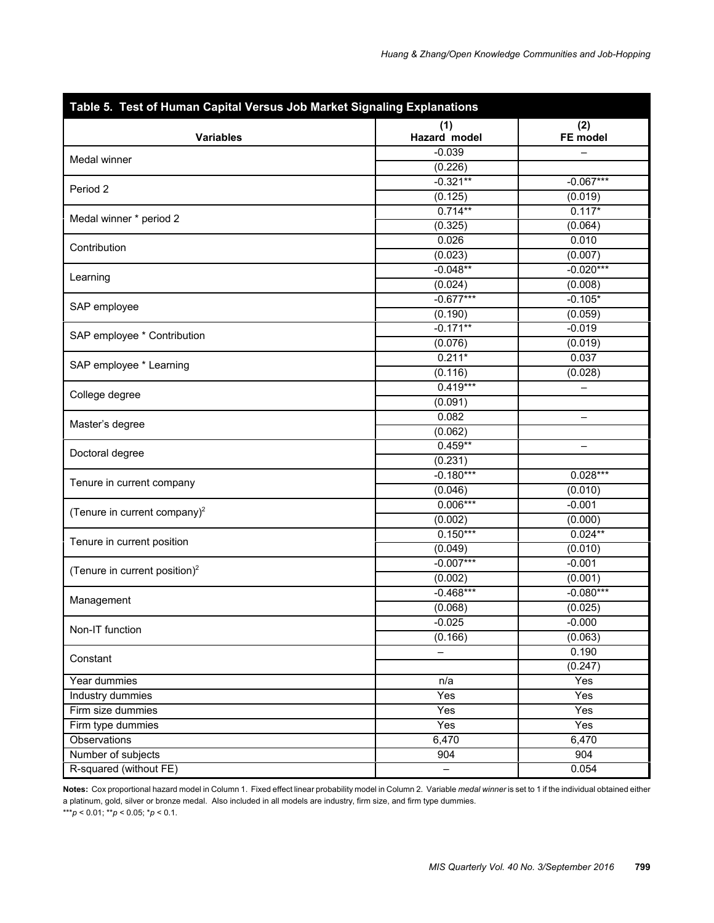| Table 5. Test of Human Capital Versus Job Market Signaling Explanations |                          |                          |  |  |  |
|-------------------------------------------------------------------------|--------------------------|--------------------------|--|--|--|
| <b>Variables</b>                                                        | (1)<br>Hazard model      | (2)<br>FE model          |  |  |  |
| Medal winner                                                            | $-0.039$                 |                          |  |  |  |
|                                                                         | (0.226)                  |                          |  |  |  |
| Period 2                                                                | $-0.321**$               | $-0.067***$              |  |  |  |
|                                                                         | (0.125)                  | (0.019)                  |  |  |  |
| Medal winner * period 2                                                 | $0.714**$                | $0.117*$                 |  |  |  |
|                                                                         | (0.325)                  | (0.064)                  |  |  |  |
| Contribution                                                            | 0.026                    | 0.010                    |  |  |  |
|                                                                         | (0.023)                  | (0.007)                  |  |  |  |
| Learning                                                                | $-0.048**$               | $-0.020***$              |  |  |  |
|                                                                         | (0.024)                  | (0.008)                  |  |  |  |
| SAP employee                                                            | $-0.677***$              | $-0.105*$                |  |  |  |
|                                                                         | (0.190)                  | (0.059)                  |  |  |  |
| SAP employee * Contribution                                             | $-0.171**$               | $-0.019$                 |  |  |  |
|                                                                         | (0.076)                  | (0.019)                  |  |  |  |
| SAP employee * Learning                                                 | $0.211*$                 | 0.037                    |  |  |  |
|                                                                         | (0.116)                  | (0.028)                  |  |  |  |
| College degree                                                          | $0.419***$               | $\qquad \qquad -$        |  |  |  |
|                                                                         | (0.091)                  |                          |  |  |  |
| Master's degree                                                         | 0.082                    | $\overline{\phantom{0}}$ |  |  |  |
|                                                                         | (0.062)                  |                          |  |  |  |
| Doctoral degree                                                         | $0.459**$                | $\qquad \qquad -$        |  |  |  |
|                                                                         | (0.231)                  |                          |  |  |  |
| Tenure in current company                                               | $-0.180***$              | $0.028***$               |  |  |  |
|                                                                         | (0.046)                  | (0.010)                  |  |  |  |
| (Tenure in current company) <sup>2</sup>                                | $0.006***$               | $-0.001$                 |  |  |  |
|                                                                         | (0.002)                  | (0.000)                  |  |  |  |
| Tenure in current position                                              | $0.150***$               | $0.024**$                |  |  |  |
|                                                                         | (0.049)                  | (0.010)                  |  |  |  |
| (Tenure in current position) <sup>2</sup>                               | $-0.007***$              | $-0.001$                 |  |  |  |
|                                                                         | (0.002)                  | (0.001)                  |  |  |  |
| Management                                                              | $-0.468***$              | $-0.080***$              |  |  |  |
|                                                                         | (0.068)                  | (0.025)                  |  |  |  |
| Non-IT function                                                         | $-0.025$                 | $-0.000$                 |  |  |  |
|                                                                         | (0.166)                  | (0.063)                  |  |  |  |
| Constant                                                                |                          | 0.190                    |  |  |  |
|                                                                         |                          | (0.247)                  |  |  |  |
| Year dummies                                                            | n/a                      | Yes                      |  |  |  |
| Industry dummies                                                        | $\overline{Yes}$         | Yes                      |  |  |  |
| Firm size dummies                                                       | Yes                      | Yes                      |  |  |  |
| Firm type dummies                                                       | Yes                      | Yes                      |  |  |  |
| Observations                                                            | 6,470                    | 6,470                    |  |  |  |
| Number of subjects                                                      | 904                      | 904                      |  |  |  |
| R-squared (without FE)                                                  | $\overline{\phantom{0}}$ | 0.054                    |  |  |  |

**Notes:** Cox proportional hazard model in Column 1. Fixed effect linear probability model in Column 2. Variable *medal winner* is set to 1 if the individual obtained either a platinum, gold, silver or bronze medal. Also included in all models are industry, firm size, and firm type dummies.

\*\*\**p* < 0.01; \*\**p* < 0.05; \**p* < 0.1.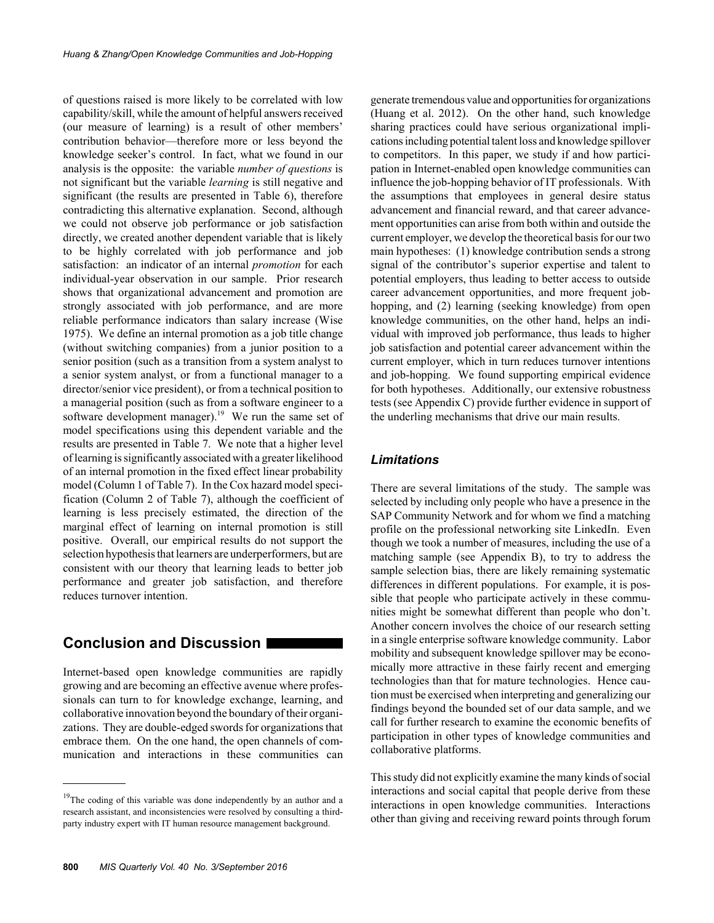of questions raised is more likely to be correlated with low capability/skill, while the amount of helpful answers received (our measure of learning) is a result of other members' contribution behavior—therefore more or less beyond the knowledge seeker's control. In fact, what we found in our analysis is the opposite: the variable *number of questions* is not significant but the variable *learning* is still negative and significant (the results are presented in Table 6), therefore contradicting this alternative explanation. Second, although we could not observe job performance or job satisfaction directly, we created another dependent variable that is likely to be highly correlated with job performance and job satisfaction: an indicator of an internal *promotion* for each individual-year observation in our sample. Prior research shows that organizational advancement and promotion are strongly associated with job performance, and are more reliable performance indicators than salary increase (Wise 1975). We define an internal promotion as a job title change (without switching companies) from a junior position to a senior position (such as a transition from a system analyst to a senior system analyst, or from a functional manager to a director/senior vice president), or from a technical position to a managerial position (such as from a software engineer to a software development manager).<sup>19</sup> We run the same set of model specifications using this dependent variable and the results are presented in Table 7. We note that a higher level of learning is significantly associated with a greater likelihood of an internal promotion in the fixed effect linear probability model (Column 1 of Table 7). In the Cox hazard model specification (Column 2 of Table 7), although the coefficient of learning is less precisely estimated, the direction of the marginal effect of learning on internal promotion is still positive. Overall, our empirical results do not support the selection hypothesis that learners are underperformers, but are consistent with our theory that learning leads to better job performance and greater job satisfaction, and therefore reduces turnover intention.

# **Conclusion and Discussion**

Internet-based open knowledge communities are rapidly growing and are becoming an effective avenue where professionals can turn to for knowledge exchange, learning, and collaborative innovation beyond the boundary of their organizations. They are double-edged swords for organizations that embrace them. On the one hand, the open channels of communication and interactions in these communities can

generate tremendous value and opportunities for organizations (Huang et al. 2012). On the other hand, such knowledge sharing practices could have serious organizational implications including potential talent loss and knowledge spillover to competitors. In this paper, we study if and how participation in Internet-enabled open knowledge communities can influence the job-hopping behavior of IT professionals. With the assumptions that employees in general desire status advancement and financial reward, and that career advancement opportunities can arise from both within and outside the current employer, we develop the theoretical basis for our two main hypotheses: (1) knowledge contribution sends a strong signal of the contributor's superior expertise and talent to potential employers, thus leading to better access to outside career advancement opportunities, and more frequent jobhopping, and (2) learning (seeking knowledge) from open knowledge communities, on the other hand, helps an individual with improved job performance, thus leads to higher job satisfaction and potential career advancement within the current employer, which in turn reduces turnover intentions and job-hopping. We found supporting empirical evidence for both hypotheses. Additionally, our extensive robustness tests (see Appendix C) provide further evidence in support of the underling mechanisms that drive our main results.

## *Limitations*

There are several limitations of the study. The sample was selected by including only people who have a presence in the SAP Community Network and for whom we find a matching profile on the professional networking site LinkedIn. Even though we took a number of measures, including the use of a matching sample (see Appendix B), to try to address the sample selection bias, there are likely remaining systematic differences in different populations. For example, it is possible that people who participate actively in these communities might be somewhat different than people who don't. Another concern involves the choice of our research setting in a single enterprise software knowledge community. Labor mobility and subsequent knowledge spillover may be economically more attractive in these fairly recent and emerging technologies than that for mature technologies. Hence caution must be exercised when interpreting and generalizing our findings beyond the bounded set of our data sample, and we call for further research to examine the economic benefits of participation in other types of knowledge communities and collaborative platforms.

This study did not explicitly examine the many kinds of social interactions and social capital that people derive from these interactions in open knowledge communities. Interactions other than giving and receiving reward points through forum

<sup>&</sup>lt;sup>19</sup>The coding of this variable was done independently by an author and a research assistant, and inconsistencies were resolved by consulting a thirdparty industry expert with IT human resource management background.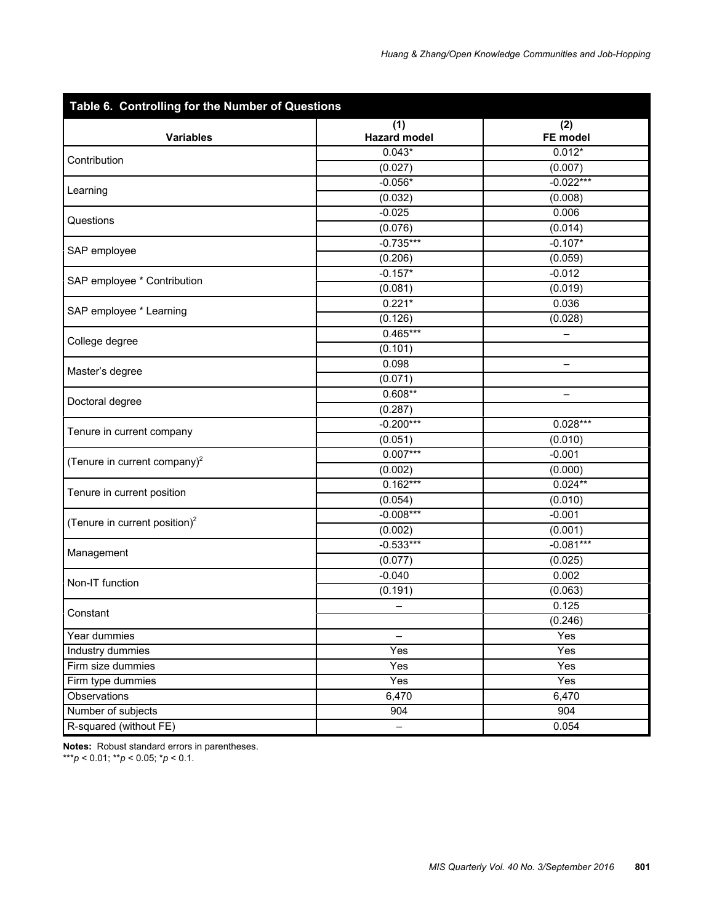| Table 6. Controlling for the Number of Questions |                          |                          |  |  |  |
|--------------------------------------------------|--------------------------|--------------------------|--|--|--|
|                                                  | (1)                      | (2)                      |  |  |  |
| <b>Variables</b>                                 | <b>Hazard model</b>      | FE model                 |  |  |  |
| Contribution                                     | $0.043*$                 | $0.012*$                 |  |  |  |
|                                                  | (0.027)                  | (0.007)                  |  |  |  |
| Learning                                         | $-0.056*$                | $-0.022***$              |  |  |  |
|                                                  | (0.032)                  | (0.008)                  |  |  |  |
| Questions                                        | $-0.025$                 | 0.006                    |  |  |  |
|                                                  | (0.076)                  | (0.014)                  |  |  |  |
| SAP employee                                     | $-0.735***$              | $-0.107*$                |  |  |  |
|                                                  | (0.206)                  | (0.059)                  |  |  |  |
|                                                  | $-0.157*$                | $-0.012$                 |  |  |  |
| SAP employee * Contribution                      | (0.081)                  | (0.019)                  |  |  |  |
|                                                  | $0.221*$                 | 0.036                    |  |  |  |
| SAP employee * Learning                          | (0.126)                  | (0.028)                  |  |  |  |
|                                                  | $0.465***$               | —                        |  |  |  |
| College degree                                   | (0.101)                  |                          |  |  |  |
|                                                  | 0.098                    | $\overline{\phantom{0}}$ |  |  |  |
| Master's degree                                  | (0.071)                  |                          |  |  |  |
|                                                  | $0.608**$                |                          |  |  |  |
| Doctoral degree                                  | (0.287)                  |                          |  |  |  |
|                                                  | $-0.200***$              | $0.028***$               |  |  |  |
| Tenure in current company                        | (0.051)                  | (0.010)                  |  |  |  |
|                                                  | $0.007***$               | $-0.001$                 |  |  |  |
| (Tenure in current company) <sup>2</sup>         | (0.002)                  | (0.000)                  |  |  |  |
|                                                  | $0.162***$               | $0.024**$                |  |  |  |
| Tenure in current position                       | (0.054)                  | (0.010)                  |  |  |  |
|                                                  | $-0.008***$              | $-0.001$                 |  |  |  |
| (Tenure in current position) <sup>2</sup>        | (0.002)                  | (0.001)                  |  |  |  |
|                                                  | $-0.533***$              | $-0.081***$              |  |  |  |
| Management                                       | (0.077)                  | (0.025)                  |  |  |  |
|                                                  | $-0.040$                 | 0.002                    |  |  |  |
| Non-IT function                                  | (0.191)                  | (0.063)                  |  |  |  |
|                                                  | $\qquad \qquad -$        | 0.125                    |  |  |  |
| Constant                                         |                          | (0.246)                  |  |  |  |
| Year dummies                                     | $\overline{\phantom{0}}$ | Yes                      |  |  |  |
| Industry dummies                                 | Yes                      | Yes                      |  |  |  |
| Firm size dummies                                | $\overline{Y}$ es        | Yes                      |  |  |  |
| Firm type dummies                                | $\overline{Y}$ es        | Yes                      |  |  |  |
| <b>Observations</b>                              | 6,470                    | 6,470                    |  |  |  |
| Number of subjects                               | 904                      | 904                      |  |  |  |
| R-squared (without FE)                           | $\overline{\phantom{0}}$ | 0.054                    |  |  |  |
|                                                  |                          |                          |  |  |  |

**Notes:** Robust standard errors in parentheses.

\*\*\**p* < 0.01; \*\**p* < 0.05; \**p* < 0.1.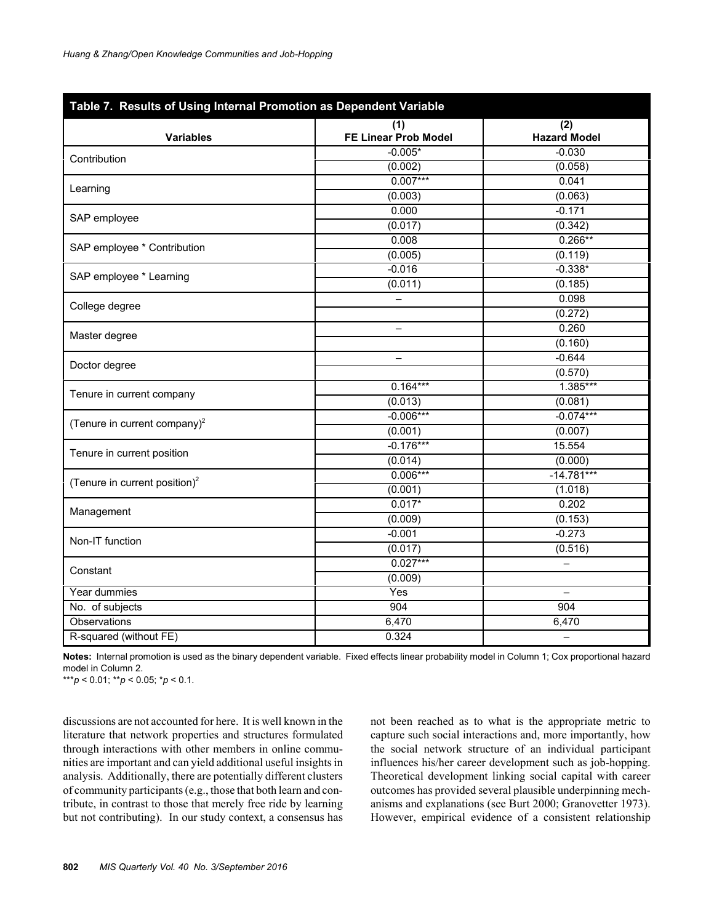| Table 7. Results of Using Internal Promotion as Dependent Variable |                             |                          |  |  |  |
|--------------------------------------------------------------------|-----------------------------|--------------------------|--|--|--|
|                                                                    | (1)                         | (2)                      |  |  |  |
| <b>Variables</b>                                                   | <b>FE Linear Prob Model</b> | <b>Hazard Model</b>      |  |  |  |
| Contribution                                                       | $-0.005*$                   | $-0.030$                 |  |  |  |
|                                                                    | (0.002)                     | (0.058)                  |  |  |  |
| Learning                                                           | $0.007***$                  | 0.041                    |  |  |  |
|                                                                    | (0.003)                     | (0.063)                  |  |  |  |
| SAP employee                                                       | 0.000                       | $-0.171$                 |  |  |  |
|                                                                    | (0.017)                     | (0.342)                  |  |  |  |
|                                                                    | 0.008                       | $0.266**$                |  |  |  |
| SAP employee * Contribution                                        | (0.005)                     | (0.119)                  |  |  |  |
|                                                                    | $-0.016$                    | $-0.338*$                |  |  |  |
| SAP employee * Learning                                            | (0.011)                     | (0.185)                  |  |  |  |
|                                                                    |                             | 0.098                    |  |  |  |
| College degree                                                     |                             | (0.272)                  |  |  |  |
|                                                                    |                             | 0.260                    |  |  |  |
| Master degree                                                      |                             | (0.160)                  |  |  |  |
|                                                                    |                             | $-0.644$                 |  |  |  |
| Doctor degree                                                      |                             | (0.570)                  |  |  |  |
|                                                                    | $0.164***$                  | 1.385***                 |  |  |  |
| Tenure in current company                                          | (0.013)                     | (0.081)                  |  |  |  |
|                                                                    | $-0.006***$                 | $-0.074***$              |  |  |  |
| (Tenure in current company) <sup>2</sup>                           | (0.001)                     | (0.007)                  |  |  |  |
|                                                                    | $-0.176***$                 | 15.554                   |  |  |  |
| Tenure in current position                                         | (0.014)                     | (0.000)                  |  |  |  |
|                                                                    | $0.006***$                  | $-14.781***$             |  |  |  |
| (Tenure in current position) <sup>2</sup>                          | (0.001)                     | (1.018)                  |  |  |  |
|                                                                    | $0.017*$                    | 0.202                    |  |  |  |
| Management                                                         | (0.009)                     | (0.153)                  |  |  |  |
|                                                                    | $-0.001$                    | $-0.273$                 |  |  |  |
| Non-IT function                                                    | (0.017)                     | (0.516)                  |  |  |  |
|                                                                    | $0.027***$                  | $\overline{\phantom{0}}$ |  |  |  |
| Constant                                                           | (0.009)                     |                          |  |  |  |
| Year dummies                                                       | Yes                         | $\overline{a}$           |  |  |  |
| No. of subjects                                                    | 904                         | 904                      |  |  |  |
| Observations                                                       | 6,470                       | 6,470                    |  |  |  |
| R-squared (without FE)                                             | 0.324                       | $\overline{\phantom{0}}$ |  |  |  |

**Notes:** Internal promotion is used as the binary dependent variable. Fixed effects linear probability model in Column 1; Cox proportional hazard model in Column 2.

\*\*\**p* < 0.01; \*\**p* < 0.05; \**p* < 0.1.

discussions are not accounted for here. It is well known in the literature that network properties and structures formulated through interactions with other members in online communities are important and can yield additional useful insights in analysis. Additionally, there are potentially different clusters of community participants (e.g., those that both learn and contribute, in contrast to those that merely free ride by learning but not contributing). In our study context, a consensus has

not been reached as to what is the appropriate metric to capture such social interactions and, more importantly, how the social network structure of an individual participant influences his/her career development such as job-hopping. Theoretical development linking social capital with career outcomes has provided several plausible underpinning mechanisms and explanations (see Burt 2000; Granovetter 1973). However, empirical evidence of a consistent relationship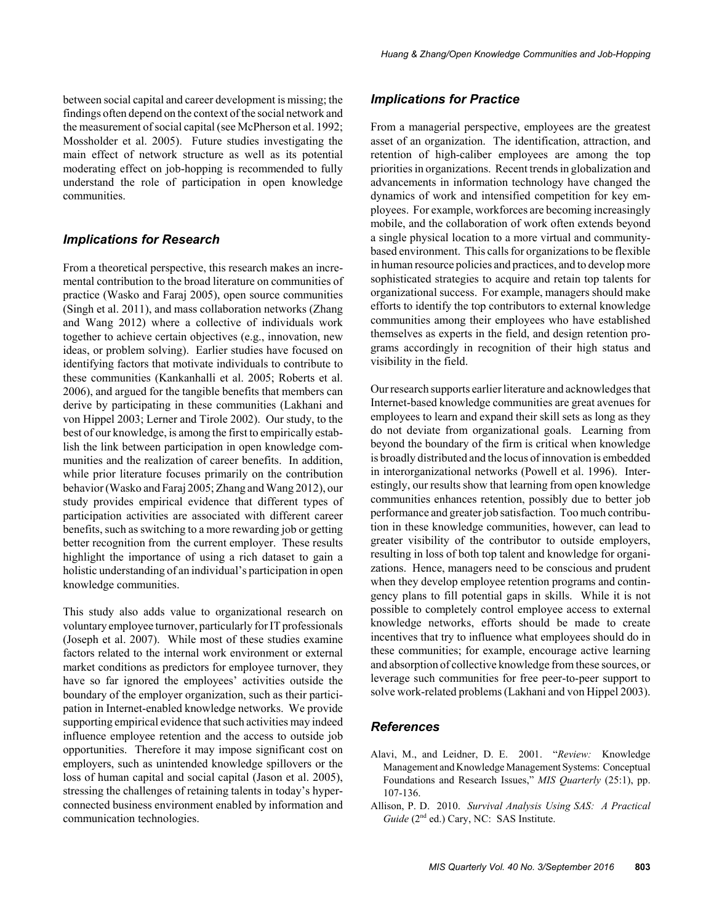between social capital and career development is missing; the findings often depend on the context of the social network and the measurement of social capital (see McPherson et al. 1992; Mossholder et al. 2005). Future studies investigating the main effect of network structure as well as its potential moderating effect on job-hopping is recommended to fully understand the role of participation in open knowledge communities.

## *Implications for Research*

From a theoretical perspective, this research makes an incremental contribution to the broad literature on communities of practice (Wasko and Faraj 2005), open source communities (Singh et al. 2011), and mass collaboration networks (Zhang and Wang 2012) where a collective of individuals work together to achieve certain objectives (e.g., innovation, new ideas, or problem solving). Earlier studies have focused on identifying factors that motivate individuals to contribute to these communities (Kankanhalli et al. 2005; Roberts et al. 2006), and argued for the tangible benefits that members can derive by participating in these communities (Lakhani and von Hippel 2003; Lerner and Tirole 2002). Our study, to the best of our knowledge, is among the first to empirically establish the link between participation in open knowledge communities and the realization of career benefits. In addition, while prior literature focuses primarily on the contribution behavior (Wasko and Faraj 2005; Zhang and Wang 2012), our study provides empirical evidence that different types of participation activities are associated with different career benefits, such as switching to a more rewarding job or getting better recognition from the current employer. These results highlight the importance of using a rich dataset to gain a holistic understanding of an individual's participation in open knowledge communities.

This study also adds value to organizational research on voluntary employee turnover, particularly for IT professionals (Joseph et al. 2007). While most of these studies examine factors related to the internal work environment or external market conditions as predictors for employee turnover, they have so far ignored the employees' activities outside the boundary of the employer organization, such as their participation in Internet-enabled knowledge networks. We provide supporting empirical evidence that such activities may indeed influence employee retention and the access to outside job opportunities. Therefore it may impose significant cost on employers, such as unintended knowledge spillovers or the loss of human capital and social capital (Jason et al. 2005), stressing the challenges of retaining talents in today's hyperconnected business environment enabled by information and communication technologies.

#### *Implications for Practice*

From a managerial perspective, employees are the greatest asset of an organization. The identification, attraction, and retention of high-caliber employees are among the top priorities in organizations. Recent trends in globalization and advancements in information technology have changed the dynamics of work and intensified competition for key employees. For example, workforces are becoming increasingly mobile, and the collaboration of work often extends beyond a single physical location to a more virtual and communitybased environment. This calls for organizations to be flexible in human resource policies and practices, and to develop more sophisticated strategies to acquire and retain top talents for organizational success. For example, managers should make efforts to identify the top contributors to external knowledge communities among their employees who have established themselves as experts in the field, and design retention programs accordingly in recognition of their high status and visibility in the field.

Our research supports earlier literature and acknowledges that Internet-based knowledge communities are great avenues for employees to learn and expand their skill sets as long as they do not deviate from organizational goals. Learning from beyond the boundary of the firm is critical when knowledge is broadly distributed and the locus of innovation is embedded in interorganizational networks (Powell et al. 1996). Interestingly, our results show that learning from open knowledge communities enhances retention, possibly due to better job performance and greater job satisfaction. Too much contribution in these knowledge communities, however, can lead to greater visibility of the contributor to outside employers, resulting in loss of both top talent and knowledge for organizations. Hence, managers need to be conscious and prudent when they develop employee retention programs and contingency plans to fill potential gaps in skills. While it is not possible to completely control employee access to external knowledge networks, efforts should be made to create incentives that try to influence what employees should do in these communities; for example, encourage active learning and absorption of collective knowledge from these sources, or leverage such communities for free peer-to-peer support to solve work-related problems (Lakhani and von Hippel 2003).

#### *References*

- Alavi, M., and Leidner, D. E. 2001. "*Review:* Knowledge Management and Knowledge Management Systems: Conceptual Foundations and Research Issues," *MIS Quarterly* (25:1), pp. 107-136.
- Allison, P. D. 2010. *Survival Analysis Using SAS: A Practical* Guide (2<sup>nd</sup> ed.) Cary, NC: SAS Institute.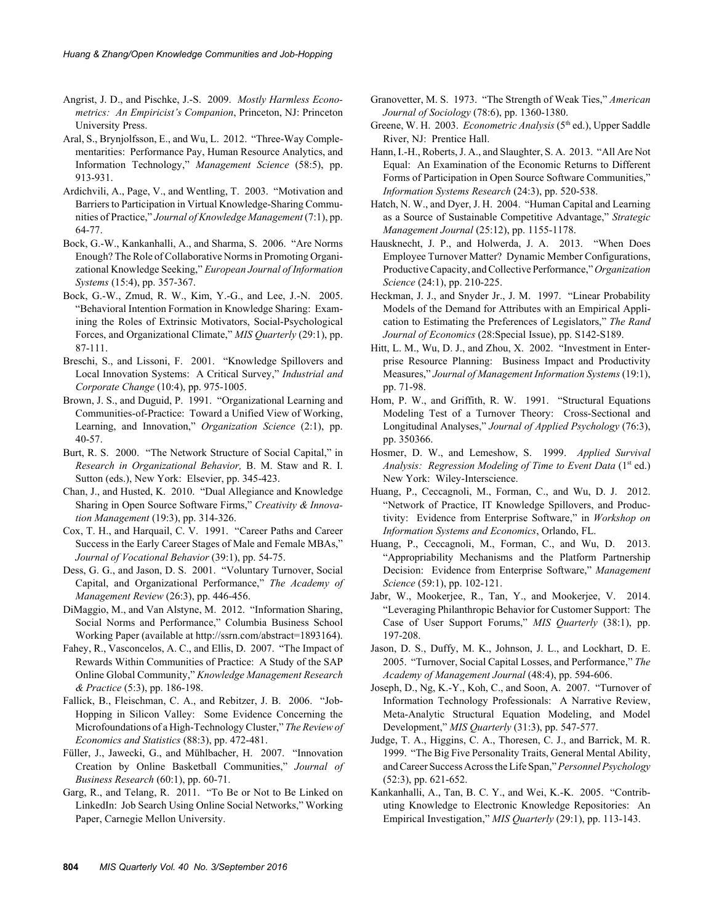- Angrist, J. D., and Pischke, J.-S. 2009. *Mostly Harmless Econometrics: An Empiricist's Companion*, Princeton, NJ: Princeton University Press.
- Aral, S., Brynjolfsson, E., and Wu, L. 2012. "Three-Way Complementarities: Performance Pay, Human Resource Analytics, and Information Technology," *Management Science* (58:5), pp. 913-931.
- Ardichvili, A., Page, V., and Wentling, T. 2003. "Motivation and Barriers to Participation in Virtual Knowledge-Sharing Communities of Practice," *Journal of Knowledge Management* (7:1), pp. 64-77.
- Bock, G.-W., Kankanhalli, A., and Sharma, S. 2006. "Are Norms Enough? The Role of Collaborative Norms in Promoting Organizational Knowledge Seeking," *European Journal of Information Systems* (15:4), pp. 357-367.
- Bock, G.-W., Zmud, R. W., Kim, Y.-G., and Lee, J.-N. 2005. "Behavioral Intention Formation in Knowledge Sharing: Examining the Roles of Extrinsic Motivators, Social-Psychological Forces, and Organizational Climate," *MIS Quarterly* (29:1), pp. 87-111.
- Breschi, S., and Lissoni, F. 2001. "Knowledge Spillovers and Local Innovation Systems: A Critical Survey," *Industrial and Corporate Change* (10:4), pp. 975-1005.
- Brown, J. S., and Duguid, P. 1991. "Organizational Learning and Communities-of-Practice: Toward a Unified View of Working, Learning, and Innovation," *Organization Science* (2:1), pp. 40-57.
- Burt, R. S. 2000. "The Network Structure of Social Capital," in *Research in Organizational Behavior,* B. M. Staw and R. I. Sutton (eds.), New York: Elsevier, pp. 345-423.
- Chan, J., and Husted, K. 2010. "Dual Allegiance and Knowledge Sharing in Open Source Software Firms," *Creativity & Innovation Management* (19:3), pp. 314-326.
- Cox, T. H., and Harquail, C. V. 1991. "Career Paths and Career Success in the Early Career Stages of Male and Female MBAs," *Journal of Vocational Behavior* (39:1), pp. 54-75.
- Dess, G. G., and Jason, D. S. 2001. "Voluntary Turnover, Social Capital, and Organizational Performance," *The Academy of Management Review* (26:3), pp. 446-456.
- DiMaggio, M., and Van Alstyne, M. 2012. "Information Sharing, Social Norms and Performance," Columbia Business School Working Paper (available at http://ssrn.com/abstract=1893164).
- Fahey, R., Vasconcelos, A. C., and Ellis, D. 2007. "The Impact of Rewards Within Communities of Practice: A Study of the SAP Online Global Community," *Knowledge Management Research & Practice* (5:3), pp. 186-198.
- Fallick, B., Fleischman, C. A., and Rebitzer, J. B. 2006. "Job-Hopping in Silicon Valley: Some Evidence Concerning the Microfoundations of a High-Technology Cluster," *The Review of Economics and Statistics* (88:3), pp. 472-481.
- Füller, J., Jawecki, G., and Mühlbacher, H. 2007. "Innovation Creation by Online Basketball Communities," *Journal of Business Research* (60:1), pp. 60-71.
- Garg, R., and Telang, R. 2011. "To Be or Not to Be Linked on LinkedIn: Job Search Using Online Social Networks," Working Paper, Carnegie Mellon University.
- Granovetter, M. S. 1973. "The Strength of Weak Ties," *American Journal of Sociology* (78:6), pp. 1360-1380.
- Greene, W. H. 2003. *Econometric Analysis* (5<sup>th</sup> ed.), Upper Saddle River, NJ: Prentice Hall.
- Hann, I.-H., Roberts, J. A., and Slaughter, S. A. 2013. "All Are Not Equal: An Examination of the Economic Returns to Different Forms of Participation in Open Source Software Communities," *Information Systems Research* (24:3), pp. 520-538.
- Hatch, N. W., and Dyer, J. H. 2004. "Human Capital and Learning as a Source of Sustainable Competitive Advantage," *Strategic Management Journal* (25:12), pp. 1155-1178.
- Hausknecht, J. P., and Holwerda, J. A. 2013. "When Does Employee Turnover Matter? Dynamic Member Configurations, Productive Capacity, and Collective Performance," *Organization Science* (24:1), pp. 210-225.
- Heckman, J. J., and Snyder Jr., J. M. 1997. "Linear Probability Models of the Demand for Attributes with an Empirical Application to Estimating the Preferences of Legislators," *The Rand Journal of Economics* (28:Special Issue), pp. S142-S189.
- Hitt, L. M., Wu, D. J., and Zhou, X. 2002. "Investment in Enterprise Resource Planning: Business Impact and Productivity Measures," *Journal of Management Information Systems* (19:1), pp. 71-98.
- Hom, P. W., and Griffith, R. W. 1991. "Structural Equations Modeling Test of a Turnover Theory: Cross-Sectional and Longitudinal Analyses," *Journal of Applied Psychology* (76:3), pp. 350366.
- Hosmer, D. W., and Lemeshow, S. 1999. *Applied Survival* Analysis: Regression Modeling of Time to Event Data (1<sup>st</sup> ed.) New York: Wiley-Interscience.
- Huang, P., Ceccagnoli, M., Forman, C., and Wu, D. J. 2012. "Network of Practice, IT Knowledge Spillovers, and Productivity: Evidence from Enterprise Software," in *Workshop on Information Systems and Economics*, Orlando, FL.
- Huang, P., Ceccagnoli, M., Forman, C., and Wu, D. 2013. "Appropriability Mechanisms and the Platform Partnership Decision: Evidence from Enterprise Software," *Management Science* (59:1), pp. 102-121.
- Jabr, W., Mookerjee, R., Tan, Y., and Mookerjee, V. 2014. "Leveraging Philanthropic Behavior for Customer Support: The Case of User Support Forums," *MIS Quarterly* (38:1), pp. 197-208.
- Jason, D. S., Duffy, M. K., Johnson, J. L., and Lockhart, D. E. 2005. "Turnover, Social Capital Losses, and Performance," *The Academy of Management Journal* (48:4), pp. 594-606.
- Joseph, D., Ng, K.-Y., Koh, C., and Soon, A. 2007. "Turnover of Information Technology Professionals: A Narrative Review, Meta-Analytic Structural Equation Modeling, and Model Development," *MIS Quarterly* (31:3), pp. 547-577.
- Judge, T. A., Higgins, C. A., Thoresen, C. J., and Barrick, M. R. 1999. "The Big Five Personality Traits, General Mental Ability, and Career Success Across the Life Span," *Personnel Psychology* (52:3), pp. 621-652.
- Kankanhalli, A., Tan, B. C. Y., and Wei, K.-K. 2005. "Contributing Knowledge to Electronic Knowledge Repositories: An Empirical Investigation," *MIS Quarterly* (29:1), pp. 113-143.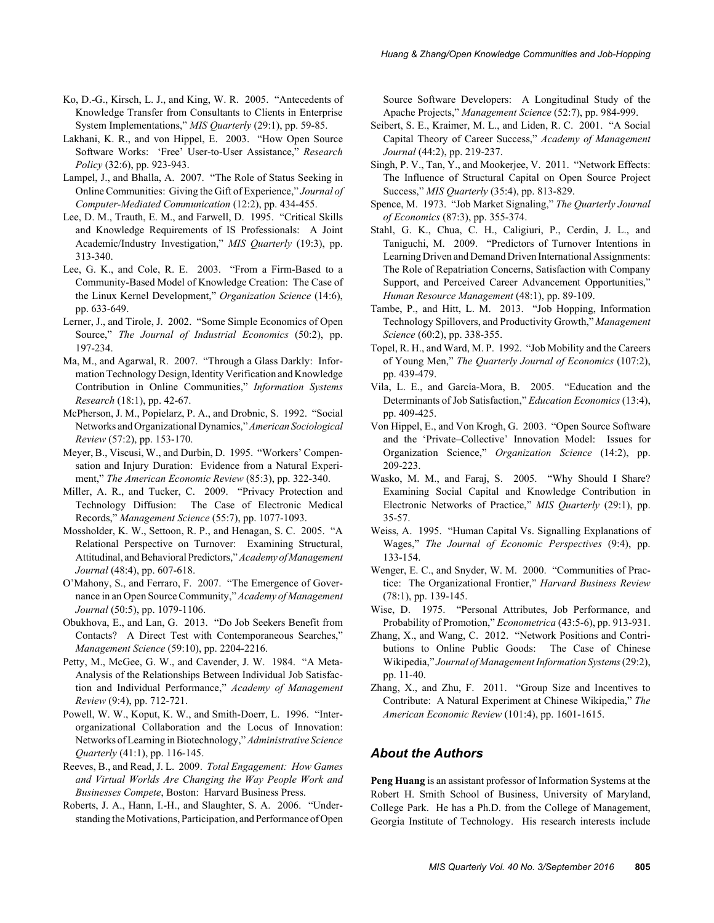- Ko, D.-G., Kirsch, L. J., and King, W. R. 2005. "Antecedents of Knowledge Transfer from Consultants to Clients in Enterprise System Implementations," *MIS Quarterly* (29:1), pp. 59-85.
- Lakhani, K. R., and von Hippel, E. 2003. "How Open Source Software Works: 'Free' User-to-User Assistance," *Research Policy* (32:6), pp. 923-943.
- Lampel, J., and Bhalla, A. 2007. "The Role of Status Seeking in Online Communities: Giving the Gift of Experience," *Journal of Computer-Mediated Communication* (12:2), pp. 434-455.
- Lee, D. M., Trauth, E. M., and Farwell, D. 1995. "Critical Skills and Knowledge Requirements of IS Professionals: A Joint Academic/Industry Investigation," *MIS Quarterly* (19:3), pp. 313-340.
- Lee, G. K., and Cole, R. E. 2003. "From a Firm-Based to a Community-Based Model of Knowledge Creation: The Case of the Linux Kernel Development," *Organization Science* (14:6), pp. 633-649.
- Lerner, J., and Tirole, J. 2002. "Some Simple Economics of Open Source," *The Journal of Industrial Economics* (50:2), pp. 197-234.
- Ma, M., and Agarwal, R. 2007. "Through a Glass Darkly: Information Technology Design, Identity Verification and Knowledge Contribution in Online Communities," *Information Systems Research* (18:1), pp. 42-67.
- McPherson, J. M., Popielarz, P. A., and Drobnic, S. 1992. "Social Networks and Organizational Dynamics," *American Sociological Review* (57:2), pp. 153-170.
- Meyer, B., Viscusi, W., and Durbin, D. 1995. "Workers' Compensation and Injury Duration: Evidence from a Natural Experiment," *The American Economic Review* (85:3), pp. 322-340.
- Miller, A. R., and Tucker, C. 2009. "Privacy Protection and Technology Diffusion: The Case of Electronic Medical Records," *Management Science* (55:7), pp. 1077-1093.
- Mossholder, K. W., Settoon, R. P., and Henagan, S. C. 2005. "A Relational Perspective on Turnover: Examining Structural, Attitudinal, and Behavioral Predictors," *Academy of Management Journal* (48:4), pp. 607-618.
- O'Mahony, S., and Ferraro, F. 2007. "The Emergence of Governance in an Open Source Community," *Academy of Management Journal* (50:5), pp. 1079-1106.
- Obukhova, E., and Lan, G. 2013. "Do Job Seekers Benefit from Contacts? A Direct Test with Contemporaneous Searches," *Management Science* (59:10), pp. 2204-2216.
- Petty, M., McGee, G. W., and Cavender, J. W. 1984. "A Meta-Analysis of the Relationships Between Individual Job Satisfaction and Individual Performance," *Academy of Management Review* (9:4), pp. 712-721.
- Powell, W. W., Koput, K. W., and Smith-Doerr, L. 1996. "Interorganizational Collaboration and the Locus of Innovation: Networks of Learning in Biotechnology," *Administrative Science Quarterly* (41:1), pp. 116-145.
- Reeves, B., and Read, J. L. 2009. *Total Engagement: How Games and Virtual Worlds Are Changing the Way People Work and Businesses Compete*, Boston: Harvard Business Press.
- Roberts, J. A., Hann, I.-H., and Slaughter, S. A. 2006. "Understanding the Motivations, Participation, and Performance of Open

Source Software Developers: A Longitudinal Study of the Apache Projects," *Management Science* (52:7), pp. 984-999.

- Seibert, S. E., Kraimer, M. L., and Liden, R. C. 2001. "A Social Capital Theory of Career Success," *Academy of Management Journal* (44:2), pp. 219-237.
- Singh, P. V., Tan, Y., and Mookerjee, V. 2011. "Network Effects: The Influence of Structural Capital on Open Source Project Success," *MIS Quarterly* (35:4), pp. 813-829.
- Spence, M. 1973. "Job Market Signaling," *The Quarterly Journal of Economics* (87:3), pp. 355-374.
- Stahl, G. K., Chua, C. H., Caligiuri, P., Cerdin, J. L., and Taniguchi, M. 2009. "Predictors of Turnover Intentions in Learning Driven and Demand Driven International Assignments: The Role of Repatriation Concerns, Satisfaction with Company Support, and Perceived Career Advancement Opportunities," *Human Resource Management* (48:1), pp. 89-109.
- Tambe, P., and Hitt, L. M. 2013. "Job Hopping, Information Technology Spillovers, and Productivity Growth," *Management Science* (60:2), pp. 338-355.
- Topel, R. H., and Ward, M. P. 1992. "Job Mobility and the Careers of Young Men," *The Quarterly Journal of Economics* (107:2), pp. 439-479.
- Vila, L. E., and García-Mora, B. 2005. "Education and the Determinants of Job Satisfaction," *Education Economics* (13:4), pp. 409-425.
- Von Hippel, E., and Von Krogh, G. 2003. "Open Source Software and the 'Private–Collective' Innovation Model: Issues for Organization Science," *Organization Science* (14:2), pp. 209-223.
- Wasko, M. M., and Faraj, S. 2005. "Why Should I Share? Examining Social Capital and Knowledge Contribution in Electronic Networks of Practice," *MIS Quarterly* (29:1), pp. 35-57.
- Weiss, A. 1995. "Human Capital Vs. Signalling Explanations of Wages," *The Journal of Economic Perspectives* (9:4), pp. 133-154.
- Wenger, E. C., and Snyder, W. M. 2000. "Communities of Practice: The Organizational Frontier," *Harvard Business Review* (78:1), pp. 139-145.
- Wise, D. 1975. "Personal Attributes, Job Performance, and Probability of Promotion," *Econometrica* (43:5-6), pp. 913-931.
- Zhang, X., and Wang, C. 2012. "Network Positions and Contributions to Online Public Goods: The Case of Chinese Wikipedia," *Journal of Management Information Systems* (29:2), pp. 11-40.
- Zhang, X., and Zhu, F. 2011. "Group Size and Incentives to Contribute: A Natural Experiment at Chinese Wikipedia," *The American Economic Review* (101:4), pp. 1601-1615.

#### *About the Authors*

**Peng Huang** is an assistant professor of Information Systems at the Robert H. Smith School of Business, University of Maryland, College Park. He has a Ph.D. from the College of Management, Georgia Institute of Technology. His research interests include